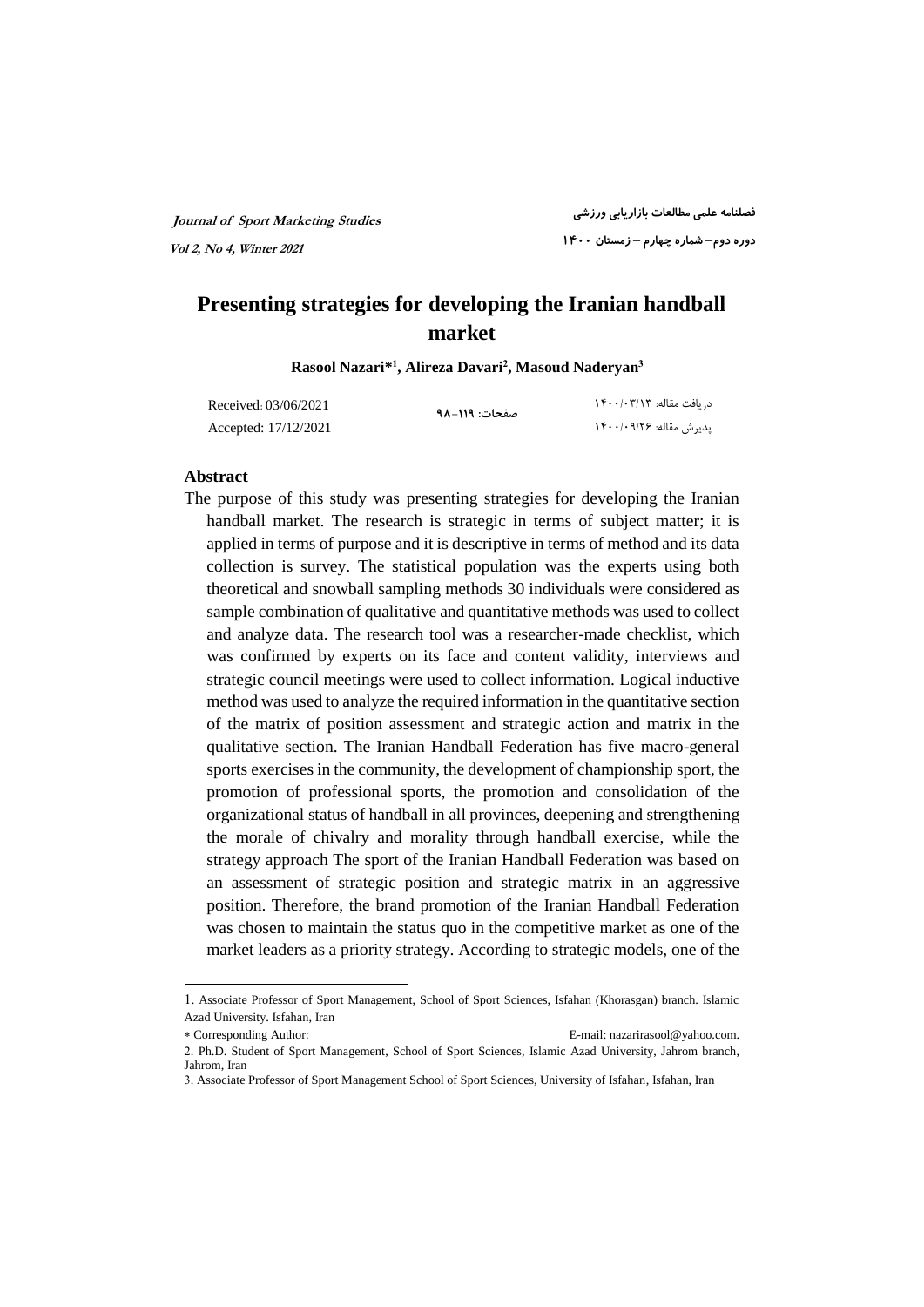**Journal of Sport Marketing Studies Vol 2, No 4, Winter 2021**

**فصلنامه علمی مطالعات بازاریابی ورزشی دوره دوم– شماره چهارم – زمستان ۱۴۰۰**

# **Presenting strategies for developing the Iranian handball market**

**Rasool Nazari\* 1 , Alireza Davari<sup>2</sup> , Masoud Naderyan<sup>3</sup>**

| Received: 03/06/2021 | صفحات: ١١٩–٩٨ | د, یافت مقاله: ۱۴۰۰/۰۳/۱۳ |
|----------------------|---------------|---------------------------|
| Accepted: 17/12/2021 |               | يذيرش مقاله: ۱۴۰۰/۰۹/۲۶   |

### **Abstract**

-

Jahrom, Iran

The purpose of this study was presenting strategies for developing the Iranian handball market. The research is strategic in terms of subject matter; it is applied in terms of purpose and it is descriptive in terms of method and its data collection is survey. The statistical population was the experts using both theoretical and snowball sampling methods 30 individuals were considered as sample combination of qualitative and quantitative methods was used to collect and analyze data. The research tool was a researcher-made checklist, which was confirmed by experts on its face and content validity, interviews and strategic council meetings were used to collect information. Logical inductive method was used to analyze the required information in the quantitative section of the matrix of position assessment and strategic action and matrix in the qualitative section. The Iranian Handball Federation has five macro-general sports exercises in the community, the development of championship sport, the promotion of professional sports, the promotion and consolidation of the organizational status of handball in all provinces, deepening and strengthening the morale of chivalry and morality through handball exercise, while the strategy approach The sport of the Iranian Handball Federation was based on an assessment of strategic position and strategic matrix in an aggressive position. Therefore, the brand promotion of the Iranian Handball Federation was chosen to maintain the status quo in the competitive market as one of the market leaders as a priority strategy. According to strategic models, one of the

<sup>1</sup>. Associate Professor of Sport Management, School of Sport Sciences, Isfahan (Khorasgan) branch. Islamic Azad University. Isfahan, Iran

Corresponding Author: E-mail: [nazarirasool@yahoo.com.](mailto:nazarirasool@yahoo.com) 2. Ph.D. Student of Sport Management, School of Sport Sciences, Islamic Azad University, Jahrom branch,

<sup>3.</sup> Associate Professor of Sport Management School of Sport Sciences, University of Isfahan, Isfahan, Iran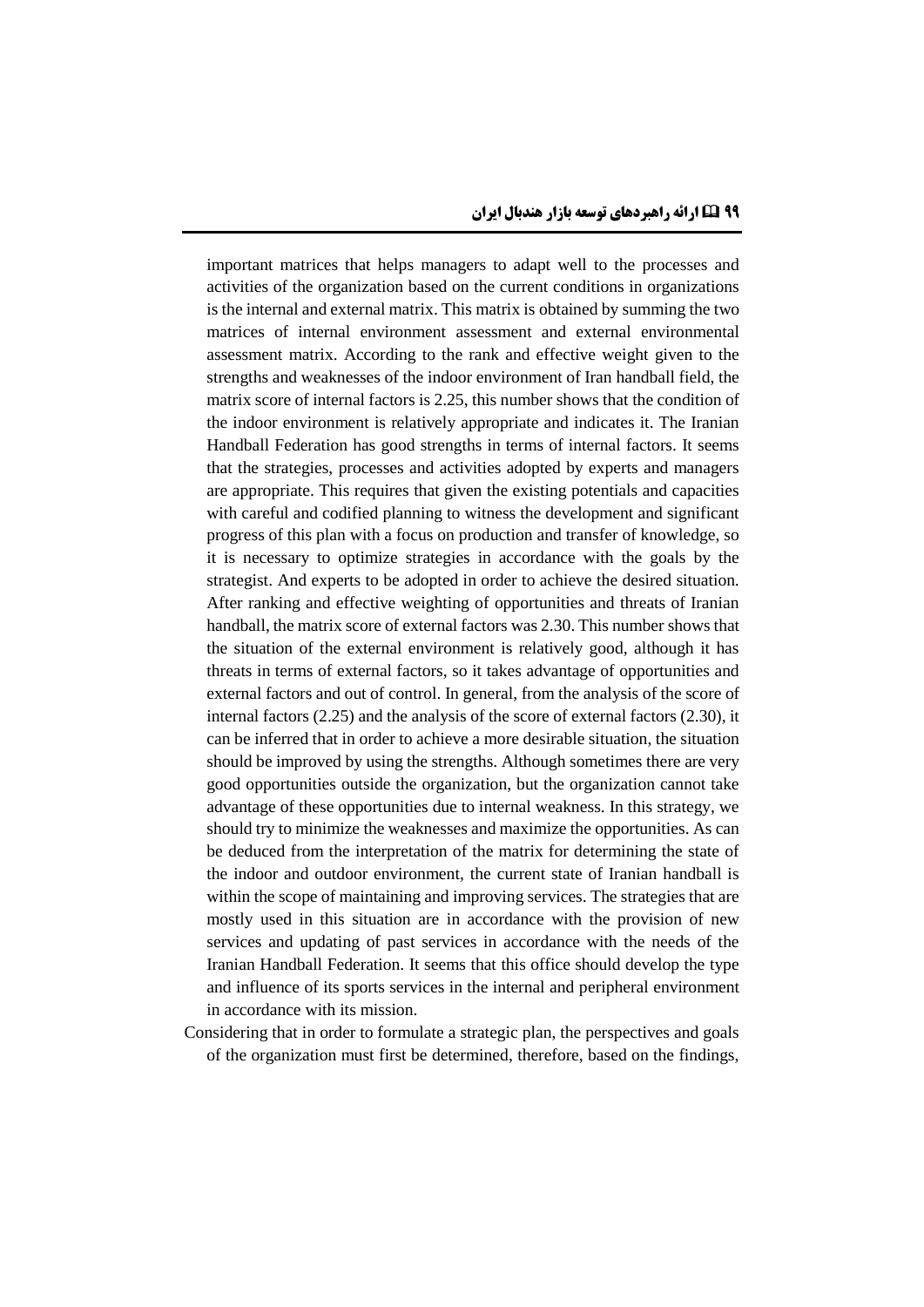important matrices that helps managers to adapt well to the processes and activities of the organization based on the current conditions in organizations is the internal and external matrix. This matrix is obtained by summing the two matrices of internal environment assessment and external environmental assessment matrix. According to the rank and effective weight given to the strengths and weaknesses of the indoor environment of Iran handball field, the matrix score of internal factors is 2.25, this number shows that the condition of the indoor environment is relatively appropriate and indicates it. The Iranian Handball Federation has good strengths in terms of internal factors. It seems that the strategies, processes and activities adopted by experts and managers are appropriate. This requires that given the existing potentials and capacities with careful and codified planning to witness the development and significant progress of this plan with a focus on production and transfer of knowledge, so it is necessary to optimize strategies in accordance with the goals by the strategist. And experts to be adopted in order to achieve the desired situation. After ranking and effective weighting of opportunities and threats of Iranian handball, the matrix score of external factors was 2.30. This number shows that the situation of the external environment is relatively good, although it has threats in terms of external factors, so it takes advantage of opportunities and external factors and out of control. In general, from the analysis of the score of internal factors (2.25) and the analysis of the score of external factors (2.30), it can be inferred that in order to achieve a more desirable situation, the situation should be improved by using the strengths. Although sometimes there are very good opportunities outside the organization, but the organization cannot take advantage of these opportunities due to internal weakness. In this strategy, we should try to minimize the weaknesses and maximize the opportunities. As can be deduced from the interpretation of the matrix for determining the state of the indoor and outdoor environment, the current state of Iranian handball is within the scope of maintaining and improving services. The strategies that are mostly used in this situation are in accordance with the provision of new services and updating of past services in accordance with the needs of the Iranian Handball Federation. It seems that this office should develop the type and influence of its sports services in the internal and peripheral environment in accordance with its mission.

Considering that in order to formulate a strategic plan, the perspectives and goals of the organization must first be determined, therefore, based on the findings,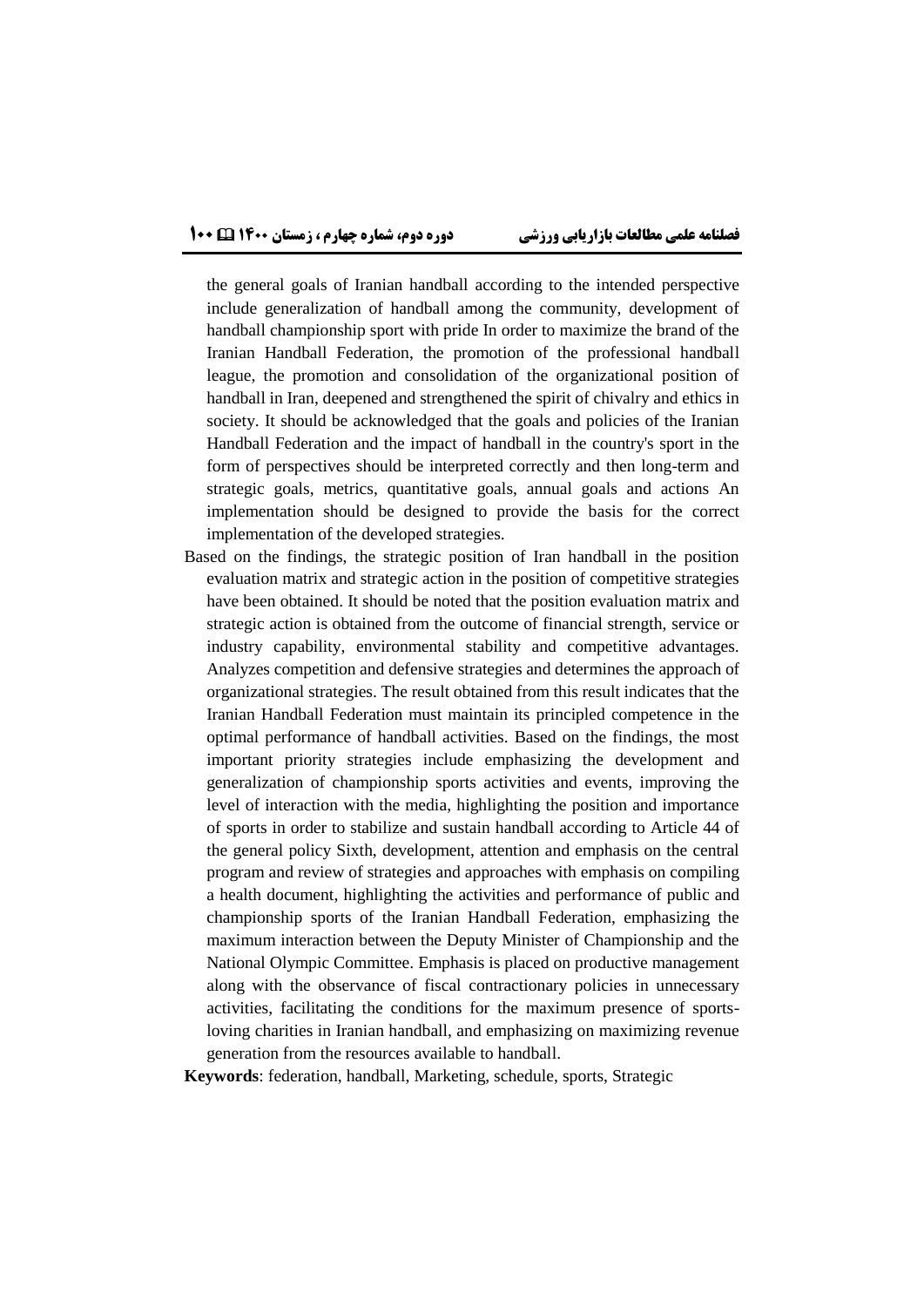the general goals of Iranian handball according to the intended perspective include generalization of handball among the community, development of handball championship sport with pride In order to maximize the brand of the Iranian Handball Federation, the promotion of the professional handball league, the promotion and consolidation of the organizational position of handball in Iran, deepened and strengthened the spirit of chivalry and ethics in society. It should be acknowledged that the goals and policies of the Iranian Handball Federation and the impact of handball in the country's sport in the form of perspectives should be interpreted correctly and then long-term and strategic goals, metrics, quantitative goals, annual goals and actions An implementation should be designed to provide the basis for the correct implementation of the developed strategies.

Based on the findings, the strategic position of Iran handball in the position evaluation matrix and strategic action in the position of competitive strategies have been obtained. It should be noted that the position evaluation matrix and strategic action is obtained from the outcome of financial strength, service or industry capability, environmental stability and competitive advantages. Analyzes competition and defensive strategies and determines the approach of organizational strategies. The result obtained from this result indicates that the Iranian Handball Federation must maintain its principled competence in the optimal performance of handball activities. Based on the findings, the most important priority strategies include emphasizing the development and generalization of championship sports activities and events, improving the level of interaction with the media, highlighting the position and importance of sports in order to stabilize and sustain handball according to Article 44 of the general policy Sixth, development, attention and emphasis on the central program and review of strategies and approaches with emphasis on compiling a health document, highlighting the activities and performance of public and championship sports of the Iranian Handball Federation, emphasizing the maximum interaction between the Deputy Minister of Championship and the National Olympic Committee. Emphasis is placed on productive management along with the observance of fiscal contractionary policies in unnecessary activities, facilitating the conditions for the maximum presence of sportsloving charities in Iranian handball, and emphasizing on maximizing revenue generation from the resources available to handball.

**Keywords**: federation, handball, Marketing, schedule, sports, Strategic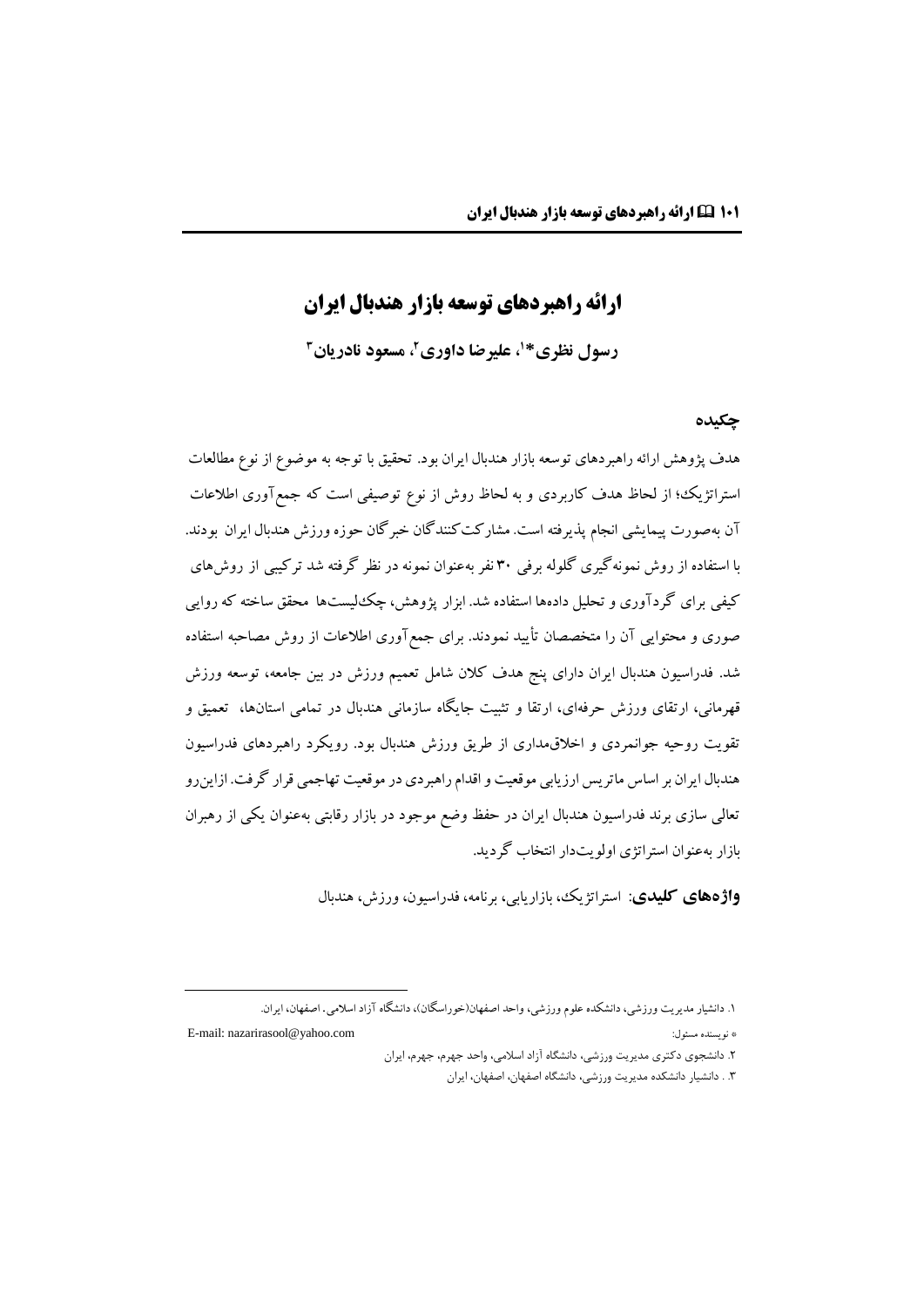# **ارائه راهبردهاي توسعه بازار هندبال ایران**

**، علیرضا داوری <sup>1</sup> رسول نظری\* ، مسعود نادریان <sup>2</sup> 3**

### **چکیده**

هدف پژوهش ارائه راهبردهاي توسعه بازار هندبال ایران بود. تحقیق با توجه به موضوع از نوع مطالعات استراتژیک؛ از لحاظ هدف کاربردي و به لحاظ روش از نوع توصیفی است که جمعآوري اطالعات آن بهصورت پیمایشی انجام پذیرفته است. مشارکتکنندگان خبرگان حوزه ورزش هندبال ایران بودند. با استفاده از روش نمونهگیري گلوله برفی 30 نفر بهعنوان نمونه در نظر گرفته شد ترکیبی از روشهاي کیفی براي گردآوري و تحلیل دادهها استفاده شد. ابزار پژوهش، چکلیستها محقق ساخته که روایی صوري و محتوایی آن را متخصصان تأیید نمودند. براي جمعآوري اطالعات از روش مصاحبه استفاده شد. فدراسیون هندبال ایران داراي پنج هدف کالن شامل تعمیم ورزش در بین جامعه، توسعه ورزش قهرمانی، ارتقاي ورزش حرفهاي، ارتقا و تثبیت جایگاه سازمانی هندبال در تمامی استانها، تعمیق و تقویت روحیه جوانمردي و اخالقمداري از طریق ورزش هندبال بود. رویکرد راهبردهاي فدراسیون هندبال ایران بر اساس ماتریس ارزیابی موقعیت و اقدام راهبردي در موقعیت تهاجمی قرار گرفت. ازاینرو تعالی سازي برند فدراسیون هندبال ایران در حفظ وضع موجود در بازار رقابتی بهعنوان یکی از رهبران بازار بهعنوان استراتژي اولویتدار انتخاب گردید.

**واژههای کلیدی**: استراتژیک، بازاریابی، برنامه، فدراسیون، ورزش، هندبال

۱. دانشیار مدیریت ورزشی، دانشکده علوم ورزشی، واحد اصفهان(خوراسگان)، دانشگاه آزاد اسلامی. اصفهان، ایران.

<u>.</u>

E-mail: [nazarirasool@yahoo.com](mailto:nazarirasool@yahoo.com) :مسئول نویسنده\*

.۲ دانشجوی دکتری مدیریت ورزشی، دانشگاه آزاد اسالمی، واحد جهرم، جهرم، ایران

.۳ . دانشیار دانشکده مدیریت ورزشی، دانشگاه اصفهان، اصفهان، ایران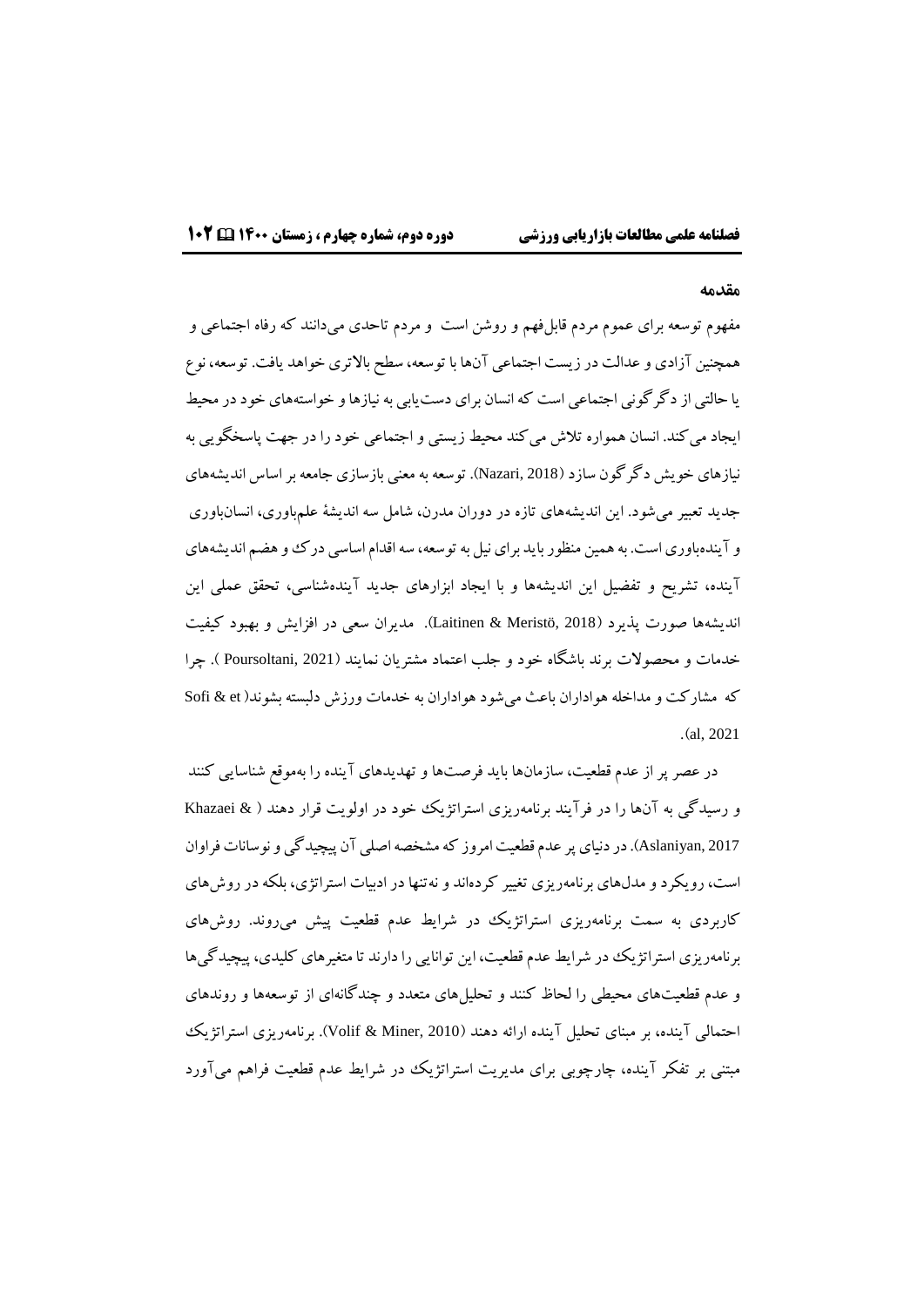### **مقدمه**

مفهوم توسعه براي عموم مردم قابلفهم و روشن است و مردم تاحدي میدانند که رفاه اجتماعی و همچنین آزادي وعدالت درزیست اجتماعی آنها با توسعه، سطح باالتري خواهد یافت. توسعه، نوع یا حالتی از دگرگونی اجتماعی است که انسان براي دستیابی به نیازها و خواستههاي خود در محیط ایجاد میکند. انسان همواره تالش میکند محیط زیستی و اجتماعی خود را در جهت پاسخگویی به نیازهاي خویش دگرگون سازد )2018 ,Nazari). توسعهبه معنی بازسازي جامعه بر اساس اندیشههاي جدید تعبیر میشود. این اندیشههاي تازه در دوران مدرن، شامل سه اندیشۀ علمباوري، انسانباوري و آیندهباوري است. به همین منظور باید براي نیل به توسعه، سه اقدام اساسی درک و هضم اندیشههاي آینده، تشریح و تفضیل این اندیشهها و با ایجاد ابزارهاي جدید آیندهشناسی، تحقق عملی این اندیشهها صورت پذیرد )2018 ,Meristö & Laitinen). مدیران سعی در افزایش و بهبود کیفیت خدمات و محصوالت برند باشگاه خود و جلب اعتماد مشتریان نمایند )2021 ,Poursoltani) . چرا که مشارکت و مداخله هواداران باعث میشود هواداران به خدمات ورزش دلبسته بشوند) et & Sofi  $(a1, 2021)$ 

در عصر پر از عدم قطعیت، سازمانها باید فرصتها و تهدیدهاي آینده را بهموقع شناسایی کنند و رسیدگی به آنها را در فرآیند برنامهریزي استراتژیک خود در اولویت قرار دهند ) & Khazaei 2017 ,Aslaniyan). در دنیاي پر عدم قطعیت امروز کهمشخصه اصلی آن پیچیدگیو نوسانات فراوان است، رویکرد و مدلهاي برنامهریزي تغییر کردهاند و نهتنها در ادبیات استراتژي، بلکه در روشهاي کاربردي به سمت برنامهریزي استراتژیک در شرایط عدم قطعیت پیش میروند. روشهاي برنامهریزي استراتژیک در شرایط عدم قطعیت، این توانایی را دارند تا متغیرهاي کلیدي، پیچیدگیها و عدم قطعیتهاي محیطی را لحاظ کنند و تحلیلهاي متعدد و چندگانهاي از توسعهها و روندهاي احتمالی آینده، بر مبنای تحلیل آینده ارائه دهند (Volif & Miner, 2010). برنامهریزی استراتژیک مبتنی بر تفکر آینده، چارچوبی براي مدیریت استراتژیک در شرایط عدم قطعیت فراهم میآورد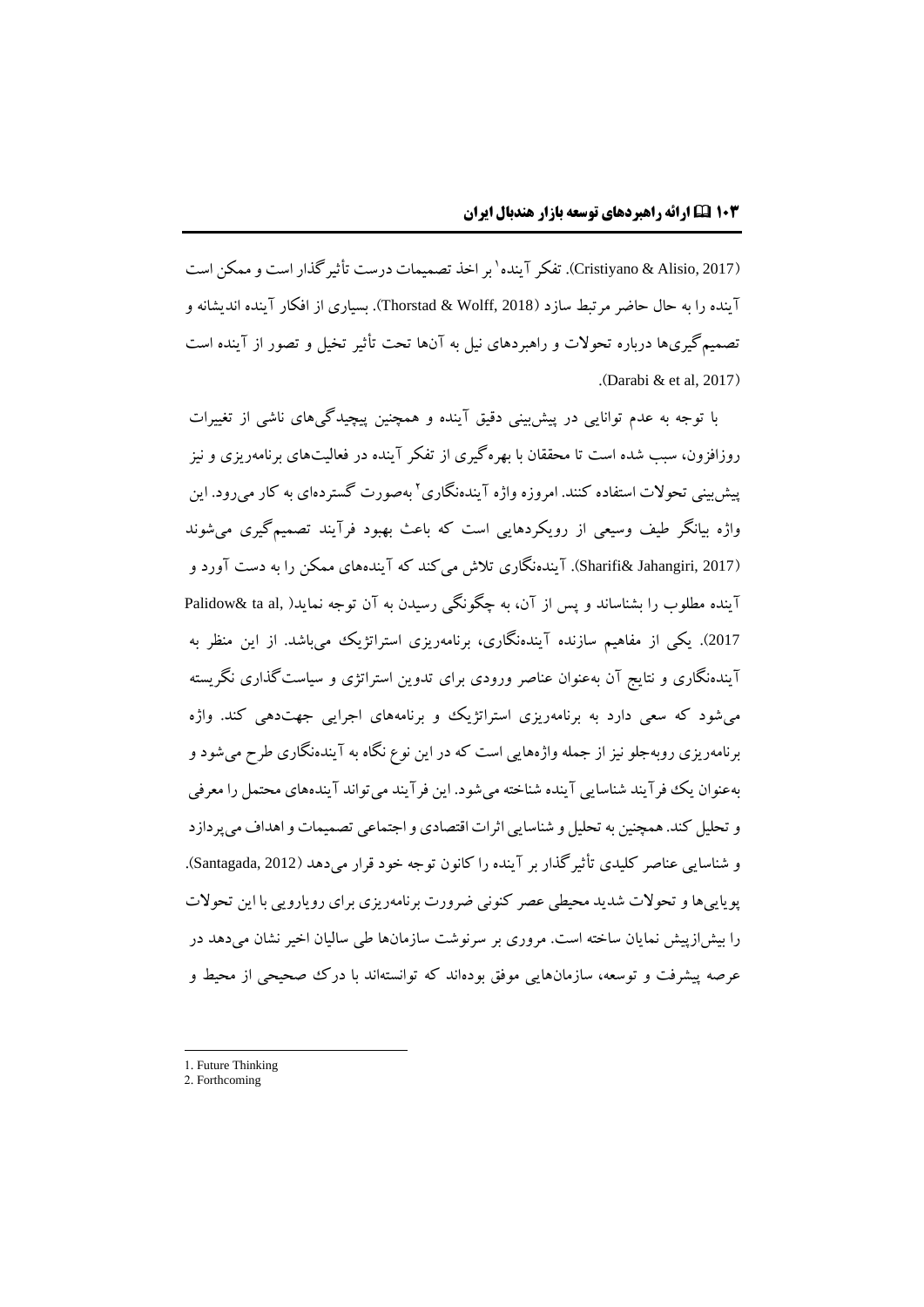(Cristiyano & Alisio, 2017). تفکر آینده' بر اخذ تصمیمات درست تأثیرگذار است و ممکن است آینده را به حال حاضر مرتبط سازد )2018 ,Wolff & Thorstad). بسیاري از افکار آینده اندیشانه و تصمیمگیريها درباره تحوالت و راهبردهاي نیل به آنها تحت تأثیر تخیل و تصور از آینده است .(Darabi  $\&$  et al, 2017)

با توجه به عدم توانایی در پیشبینی دقیق آینده و همچنین پیچیدگیهاي ناشی از تغییرات روزافزون، سبب شده است تا محققان با بهرهگیري از تفکر آینده در فعالیتهاي برنامهریزي و نیز بیش بینی تحولات استفاده کنند. امروزه واژه آیندهنگاری<sup>۲</sup> پهصورت گستردهای به کار می رود. این واژه بیانگر طیف وسیعی از رویکردهایی است که باعث بهبود فرآیند تصمیمگیري میشوند (2017 ,Sharifi& Jahangiri). آیندهنگاری تلاش میکند که آیندههای ممکن را به دست آورد و آینده مطلوب را بشناساند و پس از آن، به چگونگی رسیدن به آن توجه نماید( ,Palidow& ta al <sup>2017</sup>(. یکی از مفاهیم سازنده آیندهنگاري، برنامهریزي استراتژیک میباشد. از این منظر به آیندهنگاري و نتایج آن بهعنوان عناصر ورودي براي تدوین استراتژي و سیاستگذاري نگریسته میشود که سعی دارد به برنامهریزي استراتژیک و برنامههاي اجرایی جهتدهی کند. واژه برنامهریزي روبهجلو نیز از جمله واژههایی است که در این نوع نگاه به آیندهنگاري طرح میشود و بهعنوان یک فرآیند شناسایی آینده شناختهمیشود. این فرآیند میتواند آیندههاي محتمل را معرفی وتحلیل کند.همچنین به تحلیل و شناساییاثراتاقتصادي واجتماعی تصمیمات واهداف میپردازد و شناسایی عناصر کلیدي تأثیرگذار بر آینده را کانون توجه خود قرار میدهد )2012 ,Santagada). پویاییهاو تحوالت شدید محیطی عصر کنونی ضرورت برنامهریزي براي رویارویی با این تحوالت را بیشازپیش نمایان ساخته است. مروري بر سرنوشت سازمانها طی سالیان اخیر نشان میدهد در عرصه پیشرفت و توسعه، سازمانهایی موفق بودهاند که توانستهاند با درک صحیحی از محیط و

-

<sup>1.</sup> Future Thinking

<sup>2.</sup> Forthcoming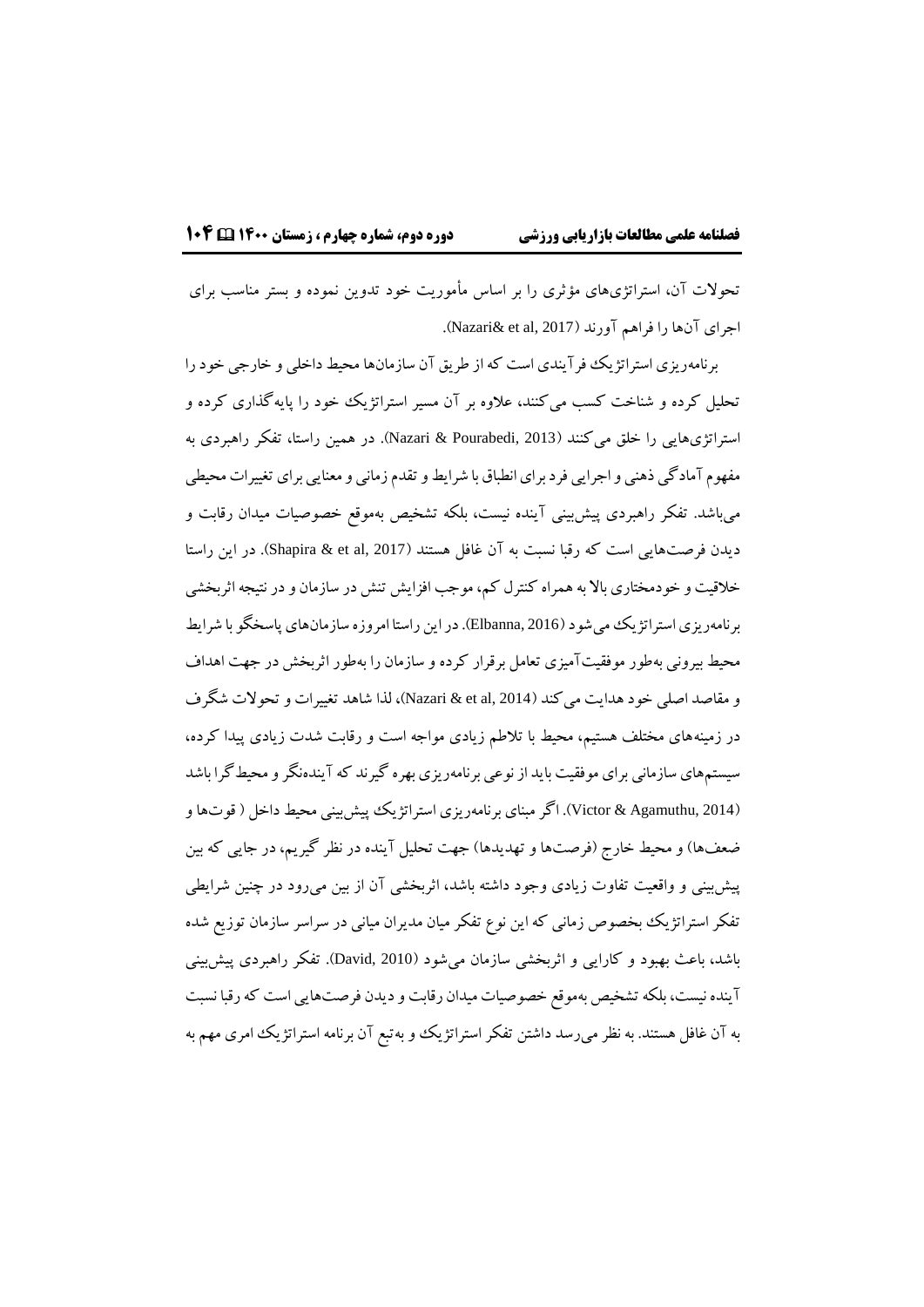تحوالت آن، استراتژيهاي مؤثري را بر اساس مأموریت خود تدوین نموده و بستر مناسب براي اجراي آنها را فراهم آورند (Nazari& et al, 2017).

برنامهریزي استراتژیک فرآیندي است که از طریق آن سازمانها محیط داخلی و خارجی خود را تحلیل کرده و شناخت کسب میکنند، عالوه بر آن مسیر استراتژیک خود را پایهگذاري کرده و استراتژيهایی را خلق میکنند )2013 ,Pourabedi & Nazari). در همین راستا، تفکر راهبردي به مفهوم آمادگی ذهنی و اجرایی فرد براي انطباق با شرایط و تقدم زمانی و معنایی براي تغییرات محیطی میباشد. تفکر راهبردي پیشبینی آینده نیست، بلکه تشخیص بهموقع خصوصیات میدان رقابت و دیدن فرصتهایی است که رقبا نسبت به آن غافل هستند (Shapira & et al, 2017). در این راستا خلاقیت و خودمختاری بالا به همراه کنترل کم، موجب افزایش تنش در سازمان و در نتیجه اثربخشی برنامهریزي استراتژیک می شود (Elbanna, 2016). در این راستا امروزه سازمانهاي پاسخگو با شرایط محیط بیرونی بهطور موفقیتآمیزي تعامل برقرار کرده و سازمان را بهطور اثربخش در جهت اهداف و مقاصد اصلی خود هدایت میکند )2014 ,al et & Nazari)، لذا شاهد تغییرات و تحوالت شگرف در زمینههاي مختلف هستیم، محیط با تالطم زیادي مواجه است و رقابت شدت زیادي پیدا کرده، سیستمهاي سازمانی براي موفقیت باید از نوعی برنامهریزي بهره گیرند که آیندهنگر ومحیطگرا باشد )2014 ,Agamuthu & Victor). اگر مبناي برنامهریزي استراتژیک پیشبینی محیط داخل ) قوتهاو ضعفها) و محیط خارج (فرصتها و تهدیدها) جهت تحلیل آینده در نظر گیریم، در جایی که بین پیشبینی و واقعیت تفاوت زیادي وجود داشته باشد، اثربخشی آن از بین میرود در چنین شرایطی تفکر استراتژیک بخصوص زمانی که این نوع تفکر میان مدیران میانی در سراسر سازمان توزیع شده باشد، باعث بهبود و کارایی و اثربخشی سازمان میشود )2010 ,David). تفکر راهبردي پیشبینی آینده نیست، بلکه تشخیص بهموقع خصوصیات میدان رقابت و دیدن فرصتهایی است که رقبا نسبت به آن غافل هستند. به نظر میرسد داشتن تفکر استراتژیک و بهتبع آن برنامه استراتژیک امري مهم به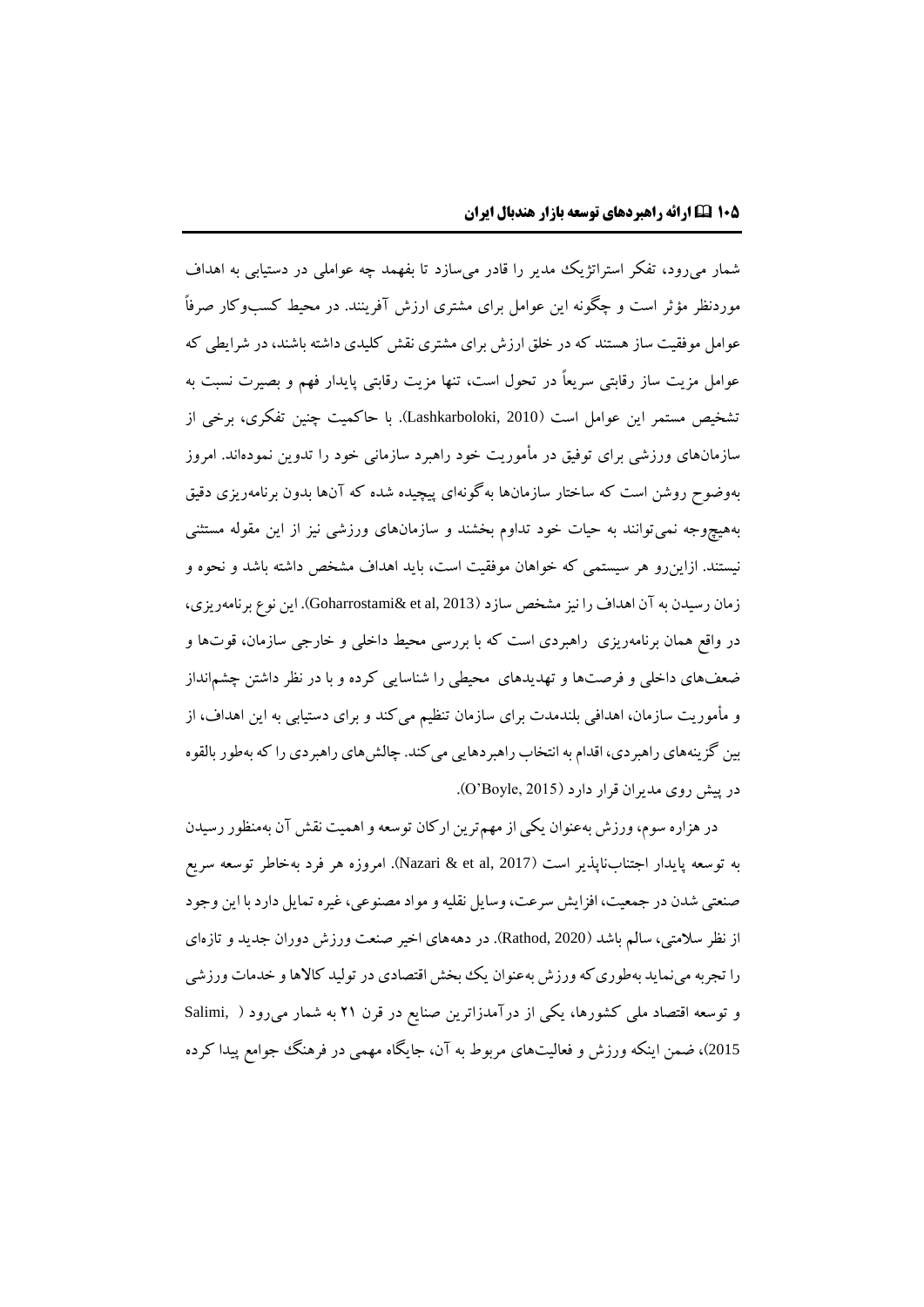شمار میرود، تفکر استراتژیک مدیر را قادر میسازد تا بفهمد چه عواملی در دستیابی به اهداف موردنظر مؤثر است و چگونه این عوامل براي مشتري ارزش آفرینند. در محیط کسبوکار صرفاً عوامل موفقیت ساز هستند که در خلق ارزش براي مشتري نقش کلیدي داشته باشند، در شرایطی که عوامل مزیت ساز رقابتی سریعاً در تحول است، تنها مزیت رقابتی پایدار فهم و بصیرت نسبت به تشخیص مستمر این عوامل است )2010 ,Lashkarboloki). با حاکمیت چنین تفکري، برخی از سازمانهاي ورزشی براي توفیق در مأموریت خود راهبرد سازمانی خود را تدوین نمودهاند. امروز بهوضوح روشن است که ساختار سازمانها بهگونهاي پیچیده شده که آنها بدون برنامهریزي دقیق بههیچوجه نمیتوانند به حیات خود تداوم بخشند و سازمانهاي ورزشی نیز از این مقوله مستثنی نیستند. ازاینرو هر سیستمی که خواهان موفقیت است، باید اهداف مشخص داشته باشد و نحوه و زمان رسیدن به آن اهداف را نیز مشخص سازد (2013 Goharrostami& et al,). این نوع برنامهریزي، در واقع همان برنامهریزي راهبردي است که با بررسی محیط داخلی و خارجی سازمان، قوتها و ضعفهاي داخلی و فرصتها و تهدیدهاي محیطی را شناسایی کرده و با در نظر داشتن چشمانداز و مأموریت سازمان، اهدافی بلندمدت براي سازمان تنظیم میکند و براي دستیابی به این اهداف، از بین گزینههاي راهبردي، اقدام به انتخاب راهبردهایی می کند. چالش هاي راهبر دي را که بهطور بالقوه در پیش روي مدیران قرار دارد )2015 ,Boyle'O).

در هزاره سوم، ورزش بهعنوان یکی از مهم ترین ارکان توسعه و اهمیت نقش آن بهمنظور رسیدن به توسعه پایدار اجتناب $باپذیر است (2017 ,Nazari & et al). امروزه هر فرد بهخاطر توسعه سریع$ صنعتی شدن در جمعیت، افزایش سرعت، وسایل نقلیه و مواد مصنوعی، غیره تمایل دارد با این وجود از نظر سالمتی، سالم باشد )2020 ,Rathod). در دهههاي اخیر صنعت ورزش دوران جدید و تازهاي را تجربه می نماید بهطوری که ورزش بهعنوان یک بخش اقتصادی در تولید کالاها و خدمات ورزشی و توسعه اقتصاد ملی کشورها، یکی از درآمدزاترین صنایع در قرن 21 به شمار میرود ) ,Salimi <sup>2015</sup>(، ضمن اینکه ورزش و فعالیتهاي مربوط به آن، جایگاه مهمی در فرهنگ جوامع پیدا کرده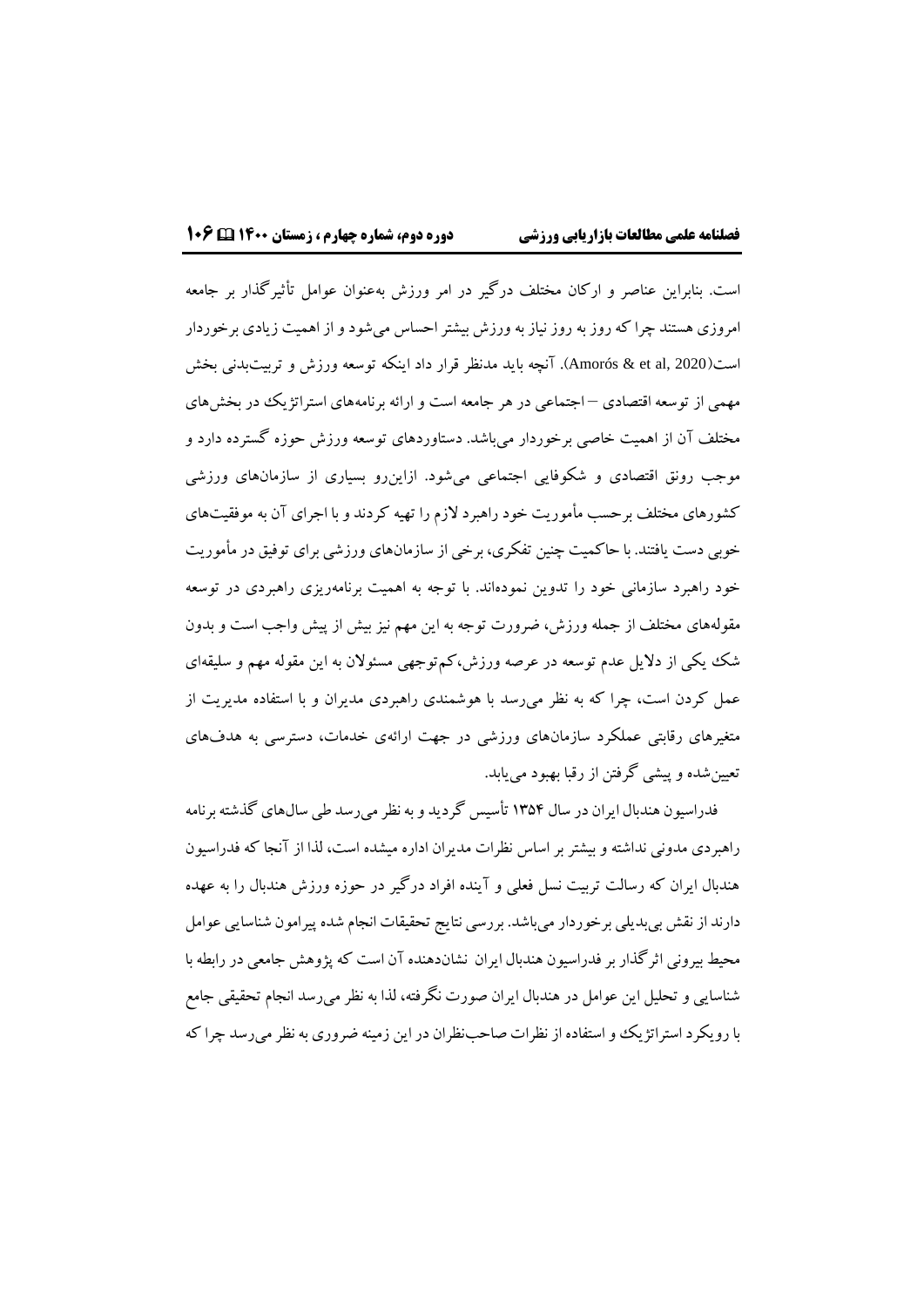است. بنابراین عناصر و ارکان مختلف درگیر در امر ورزش بهعنوان عوامل تأثیرگذار بر جامعه امروزي هستند چرا که روز به روز نیاز به ورزش بیشتر احساس میشود و از اهمیت زیادي برخوردار است)2020 ,al et & Amorós). آنچه باید مدنظر قرار داد اینکه توسعه ورزش و تربیتبدنی بخش مهمی از توسعه اقتصادي – اجتماعی در هر جامعه است و ارائه برنامههاي استراتژیک در بخشهاي مختلف آن از اهمیت خاصی برخوردار میباشد. دستاوردهاي توسعه ورزش حوزه گسترده دارد و موجب رونق اقتصادي و شکوفایی اجتماعی میشود. ازاینرو بسیاري از سازمانهاي ورزشی کشورهاي مختلف برحسب مأموریت خود راهبرد الزم را تهیه کردند و با اجراي آن به موفقیتهاي خوبی دست یافتند. با حاکمیت چنین تفکري، برخی از سازمانهاي ورزشی براي توفیق در مأموریت خود راهبرد سازمانی خود را تدوین نمودهاند. با توجه به اهمیت برنامهریزي راهبردي در توسعه مقولههاي مختلف از جمله ورزش، ضرورت توجه به این مهم نیز بیش از پیش واجب است و بدون شک یکی از دالیل عدم توسعه در عرصه ورزش،کمتوجهی مسئوالن به این مقوله مهم و سلیقهاي عمل کردن است، چرا که به نظر میرسد با هوشمندي راهبردي مدیران و با استفاده مدیریت از متغیرهاي رقابتی عملکرد سازمانهاي ورزشی در جهت ارائهي خدمات، دسترسی به هدفهاي تعیینشده و پیشی گرفتن از رقبا بهبود مییابد.

فدراسیون هندبال ایران در سال 13۵۴ تأسیس گردید و به نظر میرسد طی سالهاي گذشته برنامه راهبردي مدونی نداشته و بیشتر بر اساس نظرات مدیران اداره میشده است، لذا از آنجا که فدراسیون هندبال ایران که رسالت تربیت نسل فعلی و آینده افراد درگیر در حوزه ورزش هندبال را به عهده دارند از نقش بیبدیلی برخوردار میباشد. بررسی نتایج تحقیقات انجام شده پیرامون شناسایی عوامل محیط بیرونی اثرگذار بر فدراسیون هندبال ایران نشاندهنده آن است که پژوهش جامعی در رابطه با شناسایی و تحلیل این عوامل در هندبال ایران صورت نگرفته، لذا به نظر میرسد انجام تحقیقی جامع با رویکرد استراتژیک و استفاده از نظرات صاحبنظران در این زمینه ضروري به نظر میرسد چرا که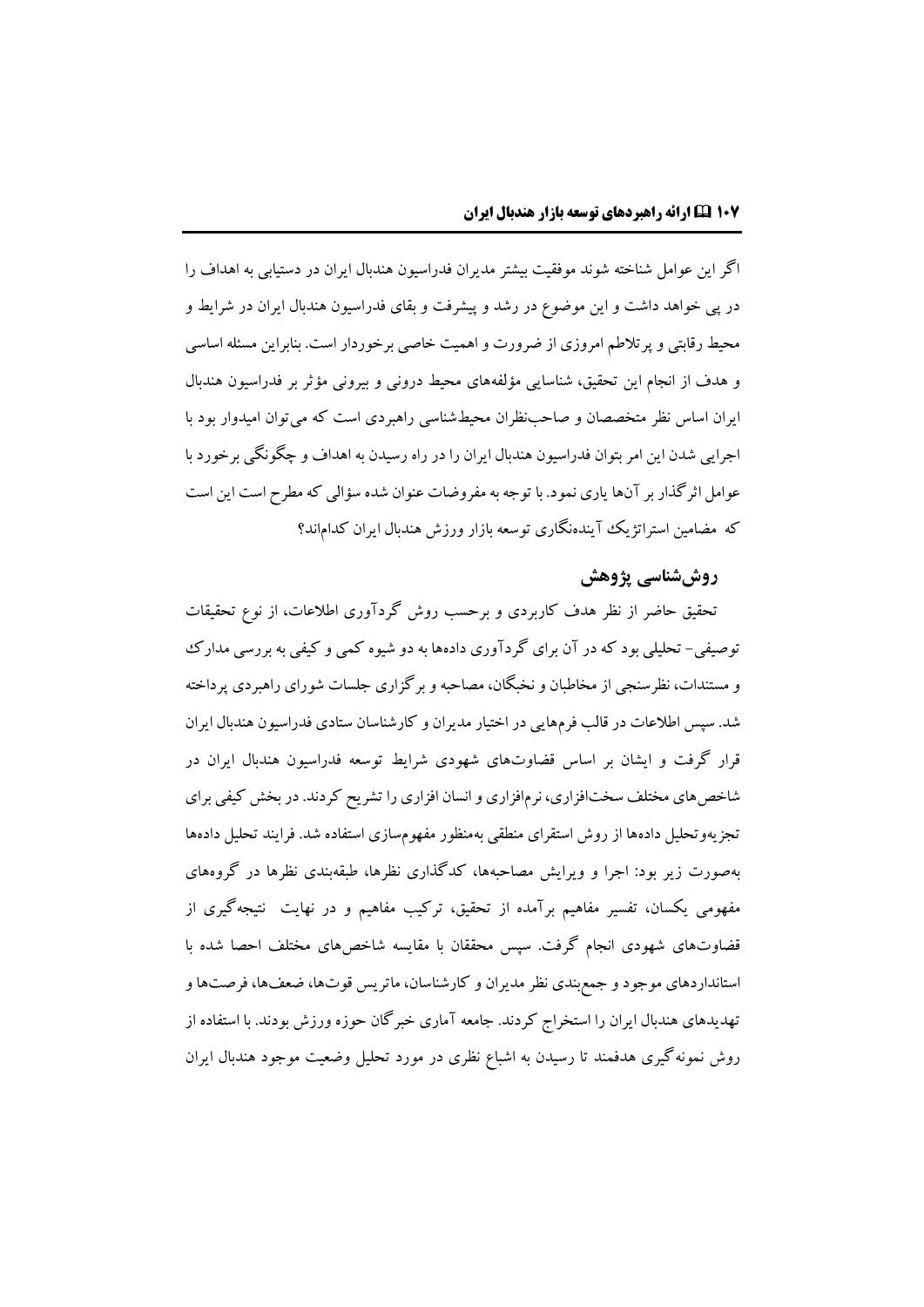اگر این عوامل شناخته شوند موفقیت بیشتر مدیران فدراسیون هندبال ایران در دستیابی به اهداف را در پی خواهد داشت و این موضوع در رشد و پیشرفت و بقاي فدراسیون هندبال ایران در شرایط و محیط رقابتی و پرتالطم امروزي از ضرورت و اهمیت خاصی برخوردار است. بنابراین مسئله اساسی و هدف از انجام این تحقیق، شناسایی مؤلفههاي محیط درونی و بیرونی مؤثر بر فدراسیون هندبال ایران اساس نظر متخصصان و صاحبنظران محیطشناسی راهبردي است که میتوان امیدوار بود با اجرایی شدن این امر بتوان فدراسیون هندبال ایران را در راه رسیدن به اهداف و چگونگی برخورد با عوامل اثرگذار بر آنها یاري نمود. با توجه به مفروضات عنوان شده سؤالی که مطرح است این است که مضامین استراتژیک آیندهنگاري توسعه بازار ورزش هندبال ایران کداماند؟

# **روششناسی پژوهش**

تحقیق حاضر از نظر هدف کاربردي و برحسب روش گردآوري اطالعات، از نوع تحقیقات توصیفی- تحلیلی بود که در آن براي گردآوري دادهها به دو شیوه کمی و کیفی به بررسی مدارک و مستندات، نظرسنجی از مخاطبان و نخبگان، مصاحبه و برگزاري جلسات شوراي راهبردي پرداخته شد. سپس اطالعات در قالب فرمهایی در اختیار مدیران و کارشناسان ستادي فدراسیون هندبال ایران قرار گرفت و ایشان بر اساس قضاوتهاي شهودي شرایط توسعه فدراسیون هندبال ایران در شاخصهاي مختلف سختافزاري، نرمافزاري و انسان افزاري را تشریح کردند. در بخش کیفی براي تجزیهوتحلیل دادهها از روش استقراي منطقی بهمنظور مفهومسازي استفاده شد. فرایند تحلیل دادهها بهصورت زیر بود: اجرا و ویرایش مصاحبهها، کدگذاري نظرها، طبقهبندي نظرها در گروههاي مفهومی یکسان، تفسیر مفاهیم برآمده از تحقیق، ترکیب مفاهیم و در نهایت نتیجهگیري از قضاوتهاي شهودي انجام گرفت. سپس محققان با مقایسه شاخصهاي مختلف احصا شده با استانداردهاي موجود و جمعبندي نظر مدیران و کارشناسان، ماتریس قوتها، ضعفها، فرصتهاو تهدیدهاي هندبال ایران را استخراج کردند. جامعه آماري خبرگان حوزه ورزش بودند. با استفاده از روش نمونهگیري هدفمند تا رسیدن به اشباع نظري در مورد تحلیل وضعیت موجود هندبال ایران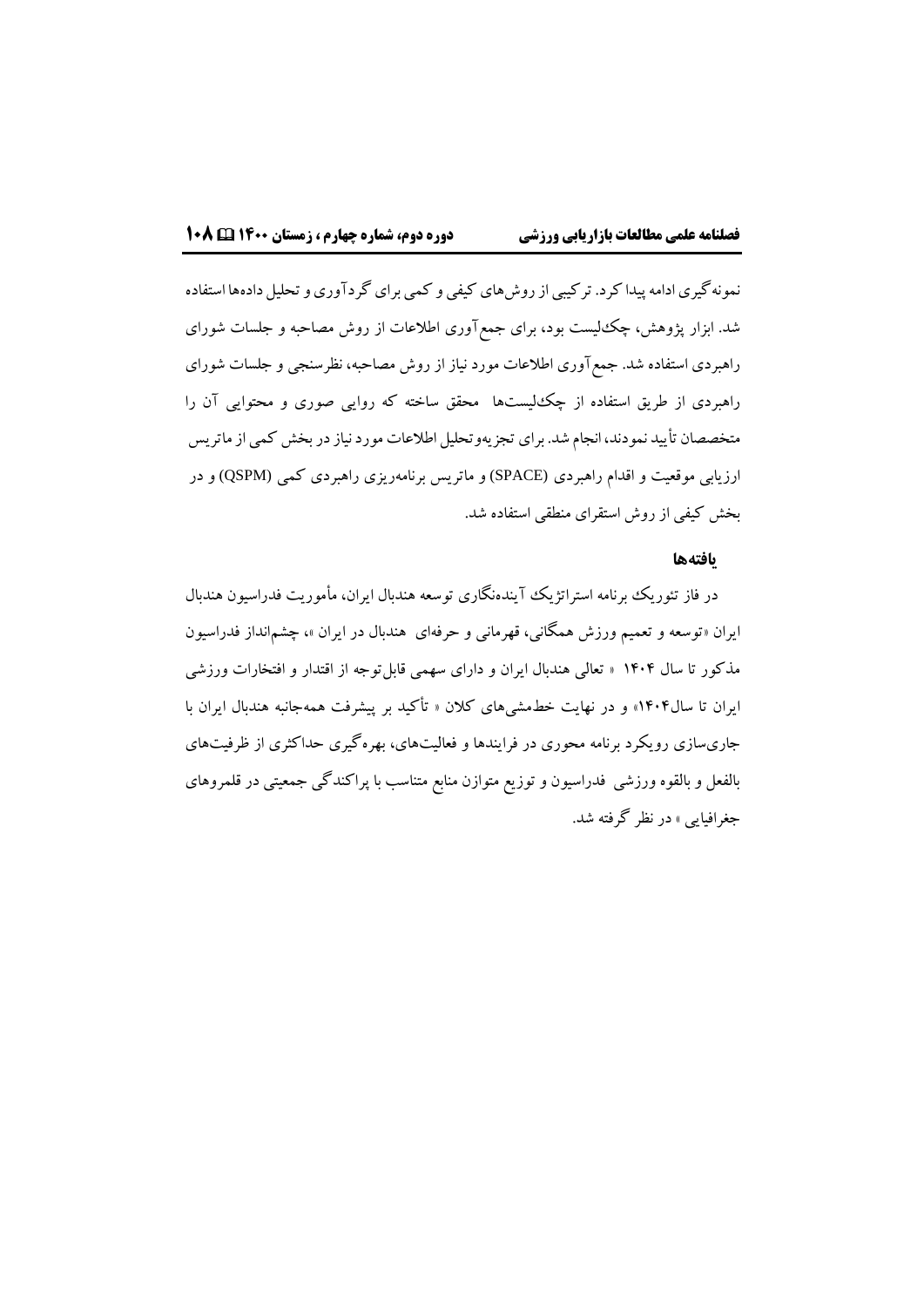نمونهگیري ادامه پیدا کرد. ترکیبي از روش هاي کيفي و کمي براي گردآوري و تحلیل دادهها استفاده شد. ابزار پژوهش، چکلیست بود، براي جمعآوري اطالعات از روش مصاحبه و جلسات شوراي راهبردي استفاده شد. جمعآوري اطالعات مورد نیاز از روش مصاحبه، نظرسنجی و جلسات شوراي راهبردي از طریق استفاده از چکلیستها محقق ساخته که روایی صوري و محتوایی آن را متخصصان تأیید نمودند، انجام شد. برای تجزیهوتحلیل اطلاعات مورد نیاز در بخش کمی از ماتریس ارزیابی موقعیت و اقدام راهبردي (SPACE (و ماتریس برنامهریزي راهبردي کمی (QSPM (و در بخش کیفی از روش استقراي منطقی استفاده شد.

#### **یافتهها**

در فاز تئوریک برنامه استراتژیک آیندهنگاري توسعه هندبال ایران، مأموریت فدراسیون هندبال ایران «توسعه و تعمیم ورزش همگانی، قهرمانی و حرفهای هندبال در ایران »، چشمانداز فدراسیون مذکور تا سال 1۴0۴ » تعالی هندبال ایران و داراي سهمی قابلتوجه از اقتدار و افتخارات ورزشی ایران تا سال1۴0۴« و در نهایت خطمشیهاي کالن » تأکید بر پیشرفت همهجانبه هندبال ایران با جاريسازي رویکرد برنامه محوري در فرایندها و فعالیتهاي، بهرهگیري حداکثري از ظرفیتهاي بالفعل و بالقوه ورزشی فدراسیون و توزیع متوازن منابع متناسب با پراکندگی جمعیتی در قلمروهاي جغرافیایی « در نظر گرفته شد.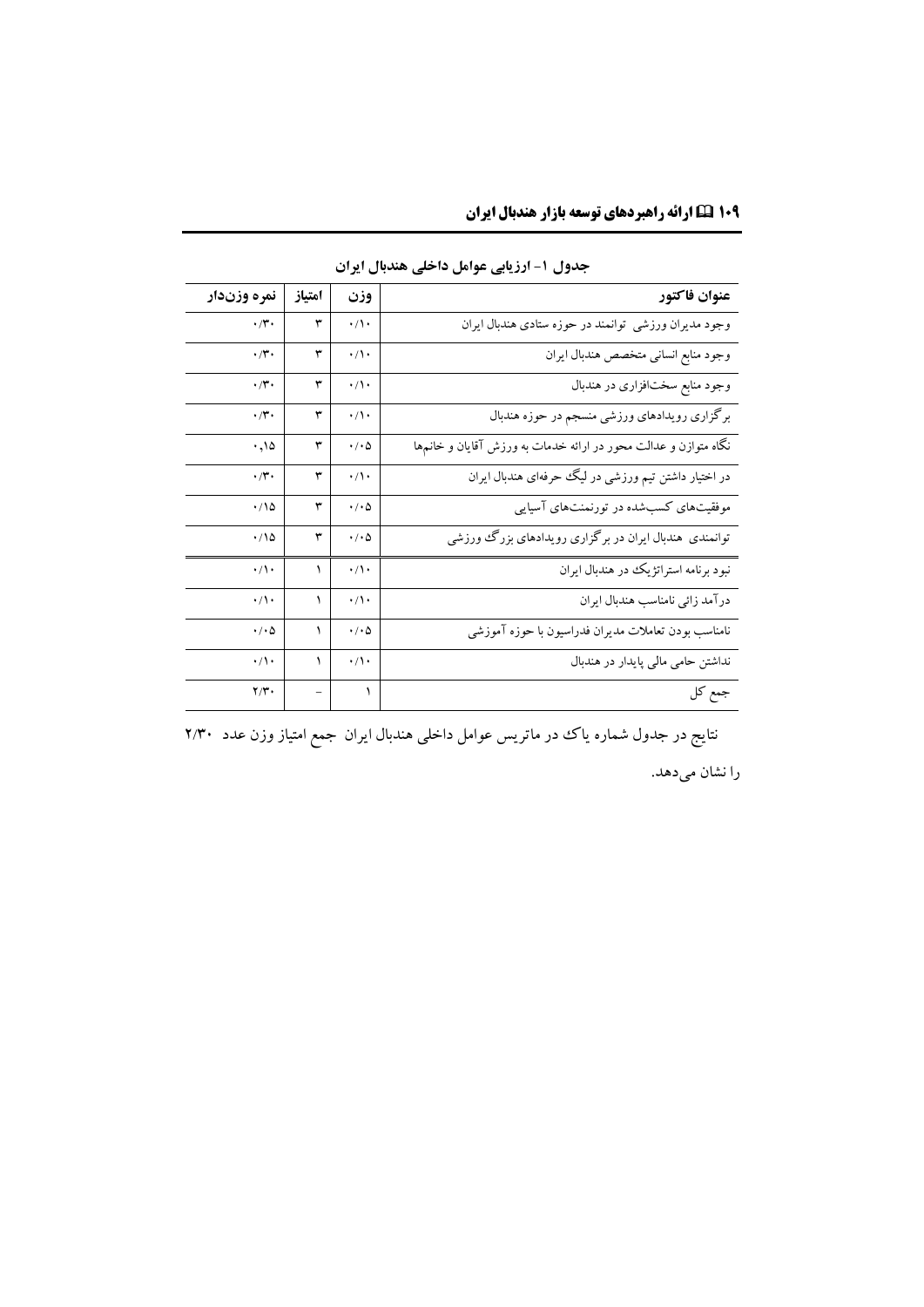| عنوان فاكتور                                                        | وزن                        | امتياز | نمره وزندار             |
|---------------------------------------------------------------------|----------------------------|--------|-------------------------|
| وجود مدیران ورزشی توانمند در حوزه ستادی هندبال ایران                | $\cdot/\wedge\cdot$        | ٣      | $\cdot/\mathbf{r}$ .    |
| وجود منابع انساني متخصص هندبال ايران                                | $\cdot/\wedge \cdot$       | ٣      | $\cdot/\mathbf{r}$      |
| وجود منابع سختافزاری در هندبال                                      | $\cdot/\rangle$            | ٣      | $\cdot/\mathbf{r}$      |
| برگزاری رویدادهای ورزشی منسجم در حوزه هندبال                        | $\cdot/\wedge\cdot$        | ٣      | $\cdot/\mathbf{r}$ .    |
| نگاه متوازن و عدالت محور در ارائه خدمات به ورزش آقایان و خانمها     | $\cdot/\cdot \Delta$       | ٣      | .000                    |
| در اختیار داشتن تیم ورزشی در لیگ حرفهای هندبال ایران                | $\cdot/\rangle$            | ٣      | $\cdot$ /۳.             |
| موفقیتهای کسبشده در تورنمنتهای آسیایی                               | $\cdot$ / $\cdot$ $\Delta$ | ٣      | .78                     |
| توانمندی هندبال ایران در برگزاری روی <mark>دادهای بزرگ ورزشی</mark> | $\cdot$ / $\cdot$ $\Delta$ | ٣      | $\cdot/\sqrt{2}$        |
| نبود برنامه استراتژیک در هندبال ایران                               | $\cdot/\wedge \cdot$       |        | $\cdot/\wedge$          |
| درآمد زائي نامناسب هندبال ايران                                     | $\cdot/\cdot$              |        | $\cdot/\prime$          |
| نامناسب بودن تعاملات مديران فدراسيون با حوزه آموزشي                 | $\cdot$ / $\cdot$ $\Delta$ | ١      | $\cdot/\cdot \Delta$    |
| نداشتن حامی مالی پایدار در هندبال                                   | $\cdot/\rangle$            |        | $\cdot/\wedge\cdot$     |
| جمع كل                                                              | ١                          |        | $\mathbf{Y}/\mathbf{Y}$ |

**جدول -1 ارزیابی عوامل داخلی هندبال ایران**

نتایج در جدول شماره یاک در ماتریس عوامل داخلی هندبال ایران جمع امتیاز وزن عدد ۲/۳۰ را نشان میدهد.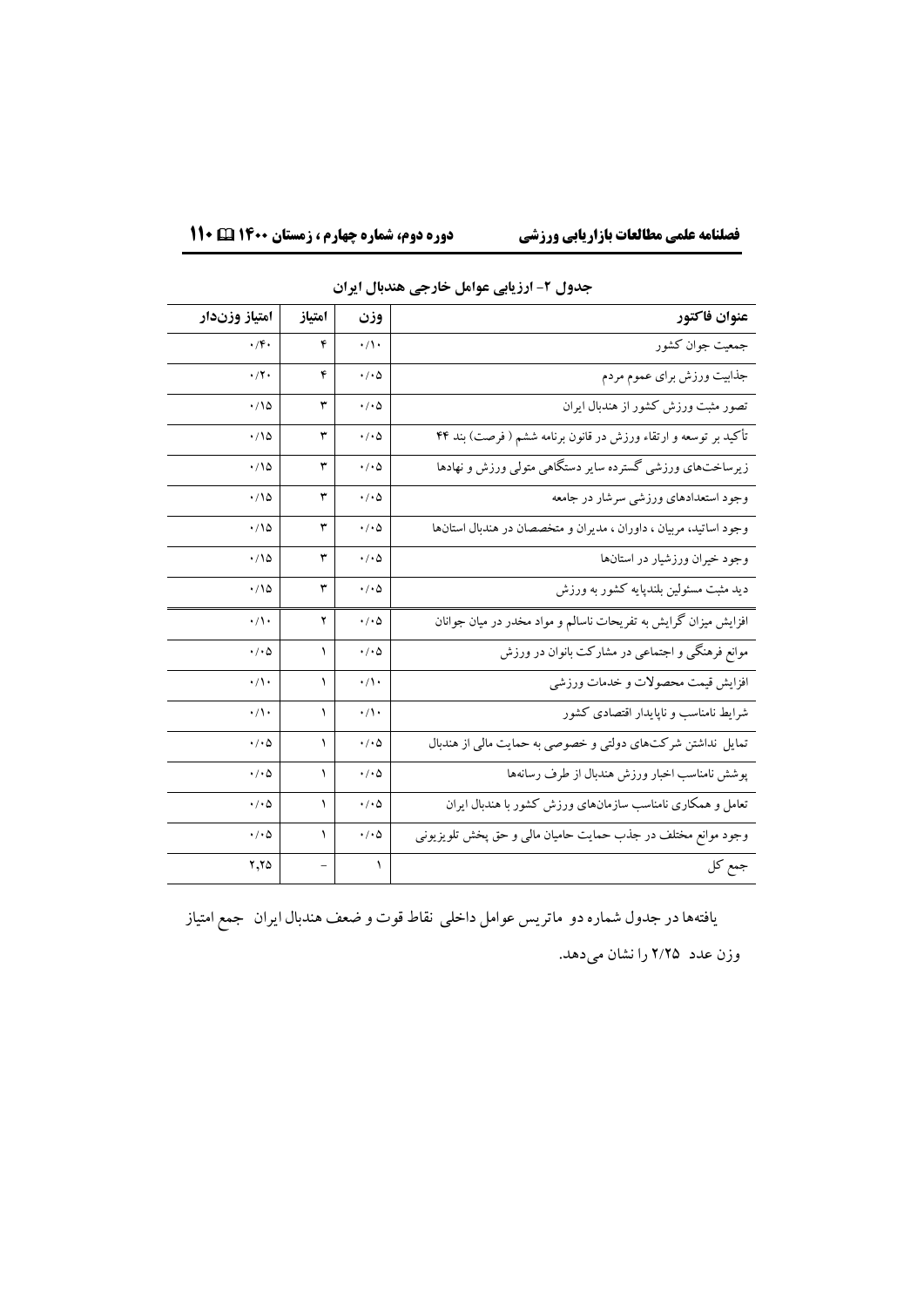| امتياز وزندار              | امتياز | وزن                        | عنوان فاكتور                                                      |
|----------------------------|--------|----------------------------|-------------------------------------------------------------------|
| $\cdot$ /۴.                | ۴      | $\cdot/\wedge \cdot$       | جمعیت جوان کشور                                                   |
| $\cdot$ /۲ $\cdot$         | ۴      | $\cdot/\cdot \Delta$       | جذابيت ورزش براى عموم مردم                                        |
| $\cdot/\sqrt{2}$           | ٣      | $\cdot/\cdot \Delta$       | تصور مثبت ورزش كشور از هندبال ايران                               |
| $\cdot/\sqrt{2}$           | ٣      | $\cdot/\cdot \Delta$       | تأکید بر توسعه و ارتقاء ورزش در قانون برنامه ششم ( فرصت) بند ۴۴   |
| $\cdot$ 10                 | ٣      | $\cdot/\cdot \Delta$       | زیرساختهای ورزشی گسترده سایر دستگاهی متولی ورزش و نهادها          |
| $\cdot/\sqrt{2}$           | ٣      | $\cdot/\cdot \Delta$       | وجود استعدادهای ورزشی سرشار در جامعه                              |
| $\cdot/\sqrt{2}$           | ٣      | $\cdot/\cdot \Delta$       | وجود اساتید، مربیان ، داوران ، مدیران و متخصصان در هندبال استانها |
| $\cdot/\sqrt{2}$           | ٣      | $\cdot/\cdot \Delta$       | وجود خیران ورزشیار در استانها                                     |
| $\cdot/\sqrt{2}$           | ٣      | $\cdot/\cdot \Delta$       | دید مثبت مسئولین بلندپایه کشور به ورزش                            |
| $\cdot/\prime$             | ۲      | $\cdot$ / $\cdot$ $\Delta$ | افزایش میزان گرایش به تفریحات ناسالم و مواد مخدر در میان جوانان   |
| $\cdot$ / $\cdot$ $\Delta$ | ١      | $\cdot$ / $\cdot$ $\Delta$ | موانع فرهنگی و اجتماعی در مشارکت بانوان در ورزش                   |
| $\cdot/\prime$             | ١      | $\cdot/\cdot$              | افزايش قيمت محصولات و خدمات ورزشي                                 |
| $\cdot/\wedge\cdot$        | ١      | $\cdot/\wedge$             | شرایط نامناسب و ناپایدار اقتصادی کشور                             |
| $\cdot$ / $\cdot$ $\Delta$ | ١      | $\cdot/\cdot \Delta$       | تمایل نداشتن شرکتهای دولتی و خصوصی به حمایت مالی از هندبال        |
| $\cdot/\cdot \Delta$       | ١      | $\cdot/\cdot \Delta$       | پوشش نامناسب اخبار ورزش هندبال از طرف رسانهها                     |
| ۰/۰۵                       | ١      | $\cdot$ / $\cdot$ $\Delta$ | تعامل و همکاری نامناسب سازمانهای ورزش کشور با هندبال ایران        |
| $\cdot/\cdot \Delta$       | ١      | $\cdot$ / $\cdot$ $\Delta$ | وجود موانع مختلف در جذب حمایت حامیان مالی و حق پخش تلویزیونی      |
| $Y,Y \Delta$               |        | $\lambda$                  | جمع کل                                                            |

**جدول -2 ارزیابی عوامل خارجی هندبال ایران**

یافتههادر جدول شماره دو ماتریس عوامل داخلی نقاط قوت و ضعف هندبال ایران جمع امتیاز وزن عدد 2/2۵ را نشان میدهد.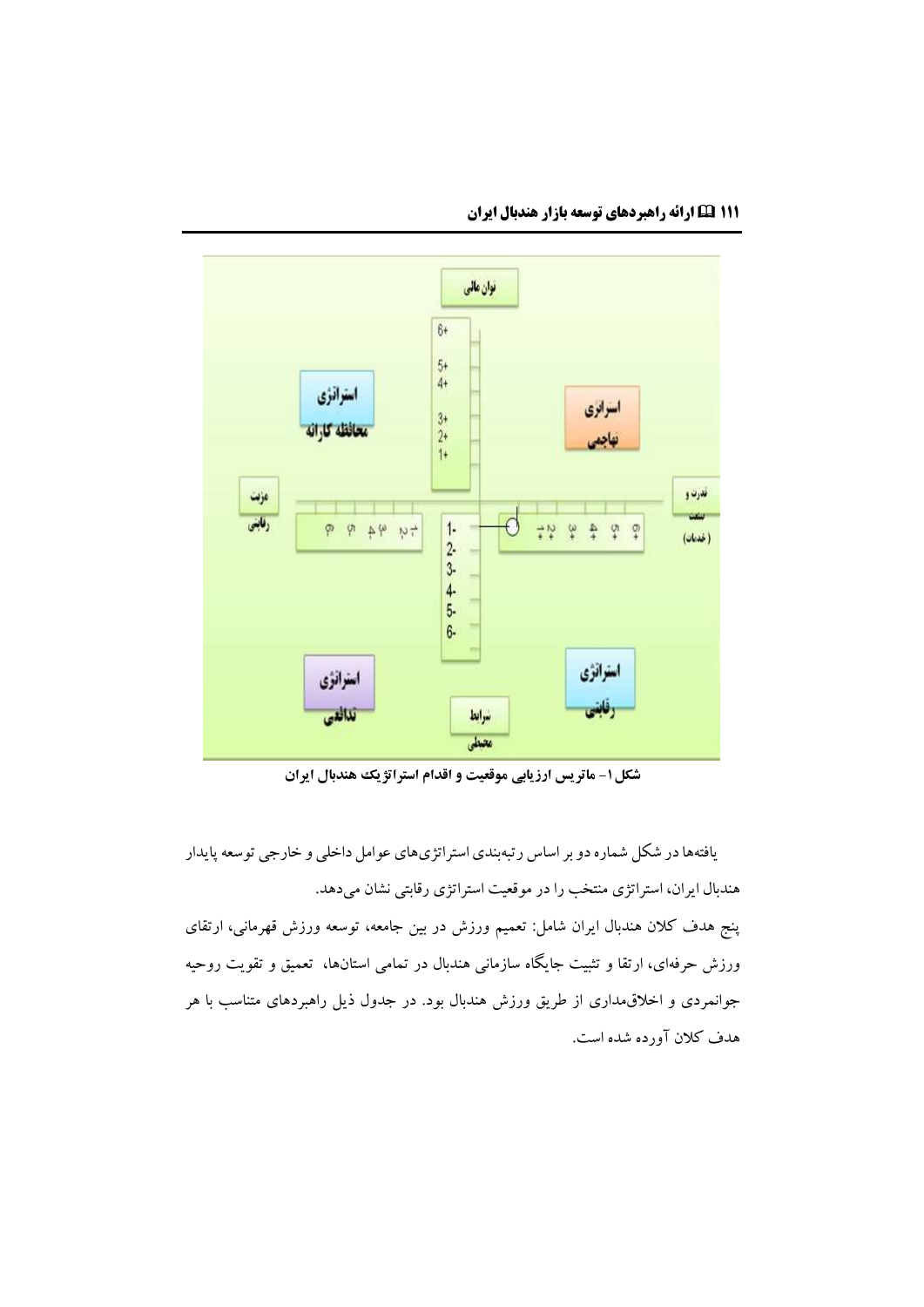

**شکل-1 ماتریس ارزیابی موقعیت و اقدام استراتژیک هندبال ایران**

یافتههادر شکل شماره دو بر اساس رتبهبندياستراتژيهاي عوامل داخلی و خارجی توسعه پایدار هندبال ایران، استراتژي منتخب را در موقعیت استراتژي رقابتی نشان میدهد.

پنج هدف کالن هندبال ایران شامل: تعمیم ورزش در بین جامعه، توسعه ورزش قهرمانی، ارتقاي ورزش حرفهاي، ارتقا و تثبیت جایگاه سازمانی هندبال در تمامی استانها، تعمیق و تقویت روحیه جوانمردي و اخالقمداري از طریق ورزش هندبال بود. در جدول ذیل راهبردهاي متناسب با هر هدف کالن آورده شده است.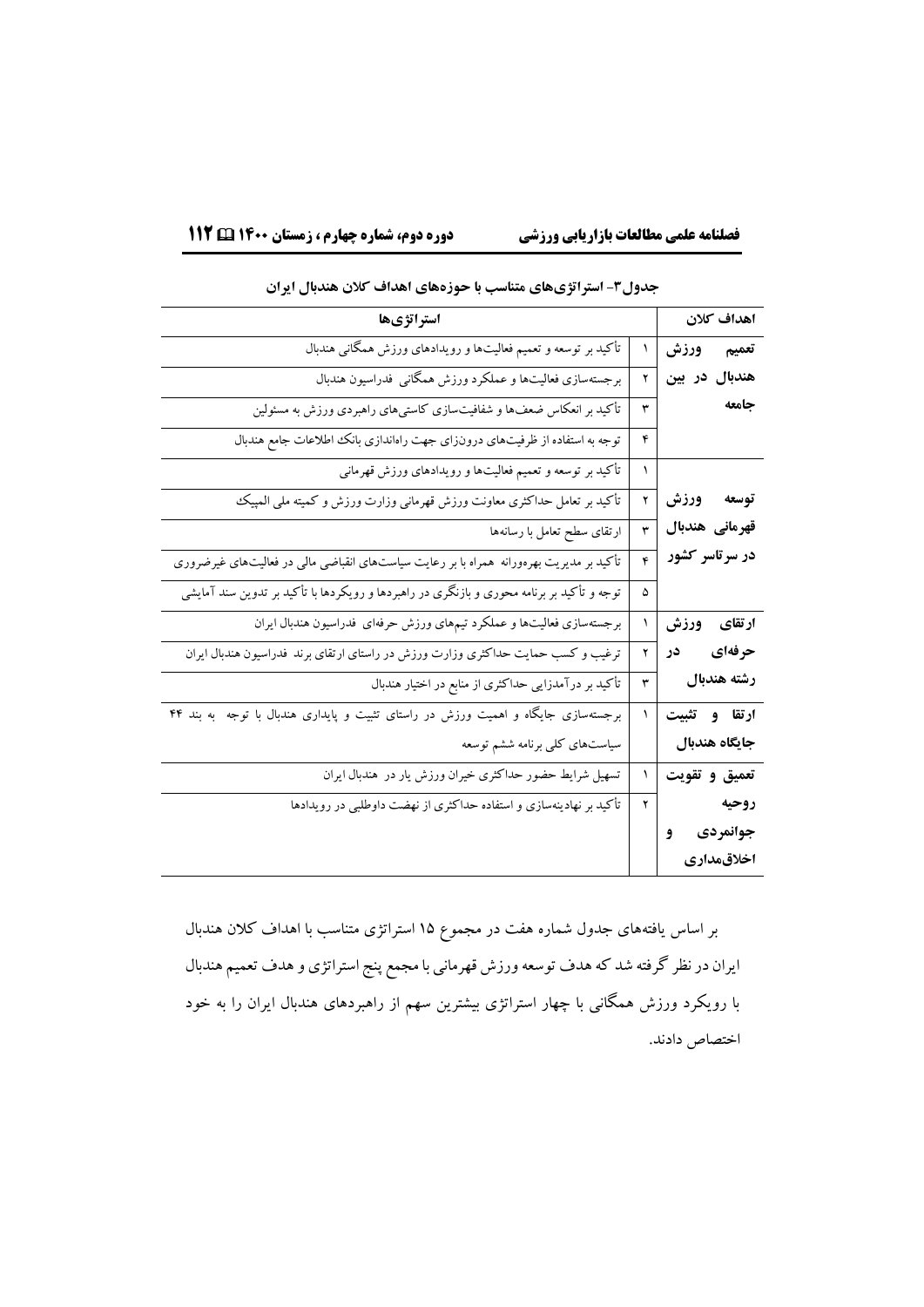|                 |   | . زن زرت ت ۱۰۰۰ زد ت                                                                       |
|-----------------|---|--------------------------------------------------------------------------------------------|
| اهداف كلان      |   | استراتژیها                                                                                 |
| تعميم ورزش      | ١ | تأکید بر توسعه و تعمیم فعالیتها و رویدادهای ورزش همگانی هندبال                             |
| هندبال در بین   | ۲ | برجستهسازى فعاليتها و عملكرد ورزش همگانى  فدراسيون هندبال                                  |
| جامعه           | ٣ | تأکید بر انعکاس ضعفها و شفافیتسازی کاستیهای راهبردی ورزش به مسئولین                        |
|                 | ۴ | توجه به استفاده از ظرفیتهای درونزای جهت راهاندازی بانک اطلاعات جامع هندبال                 |
|                 | ١ | تأکید بر توسعه و تعمیم فعالیتها و رویدادهای ورزش قهرمانی                                   |
| توسعه ورزش      | ۲ | تأكيد بر تعامل حداكثرى معاونت ورزش قهرمانى وزارت ورزش و كميته ملى المپيك                   |
| قهرمانی هندبال  | ٣ | ارتقاى سطح تعامل با رسانهها                                                                |
| در سر تاسر کشور | ۴ | تأکید بر مدیریت بهرهورانه  همراه با بر رعایت سیاستهای انقباضی مالی در فعالیتهای غیرضروری   |
|                 | ۵ | توجه و تأکید بر برنامه محوری و بازنگری در راهبردها و رویکردها با تأکید بر تدوین سند آمایشی |
| ارتقای ورزش     | ١ | برجستهسازی فعالیتها و عملکرد تیمهای ورزش حرفهای فدراسیون هندبال ایران                      |
| حرفهای در       | ۲ | ترغیب و کسب حمایت حداکثری وزارت ورزش در راستای ارتقای برند فدراسیون هندبال ایران           |
| رشته هندبال     | ٣ | تأکید بر درآمدزایی حداکثری از منابع در اختیار هندبال                                       |
| ارتقا و تثبيت   | ١ | برجستهسازی جایگاه و اهمیت ورزش در راستای تثبیت و پایداری هندبال با توجه ً به بند ۴۴        |
| جايگاه هندبال   |   | سیاستهای کلی برنامه ششم توسعه                                                              |
| تعميق وتقويت    | ١ | تسهیل شرایط حضور حداکثری خیران ورزش یار در هندبال ایران                                    |
| روحيه           | ۲ | تأکید بر نهادینهسازی و استفاده حداکثری از نهضت داوطلبی در رویدادها                         |
| جوانمردی و      |   |                                                                                            |
| اخلاقمدارى      |   |                                                                                            |

## **جدول-3 استراتژیهای متناسب با حوزههای اهداف کالن هندبال ایران**

بر اساس یافتههاي جدول شماره هفت در مجموع 1۵ استراتژي متناسب با اهداف کالن هندبال ایران در نظر گرفته شد که هدف توسعه ورزش قهرمانی با مجمع پنج استراتژي و هدف تعمیم هندبال با رویکرد ورزش همگانی با چهار استراتژي بیشترین سهم از راهبردهاي هندبال ایران را به خود اختصاص دادند.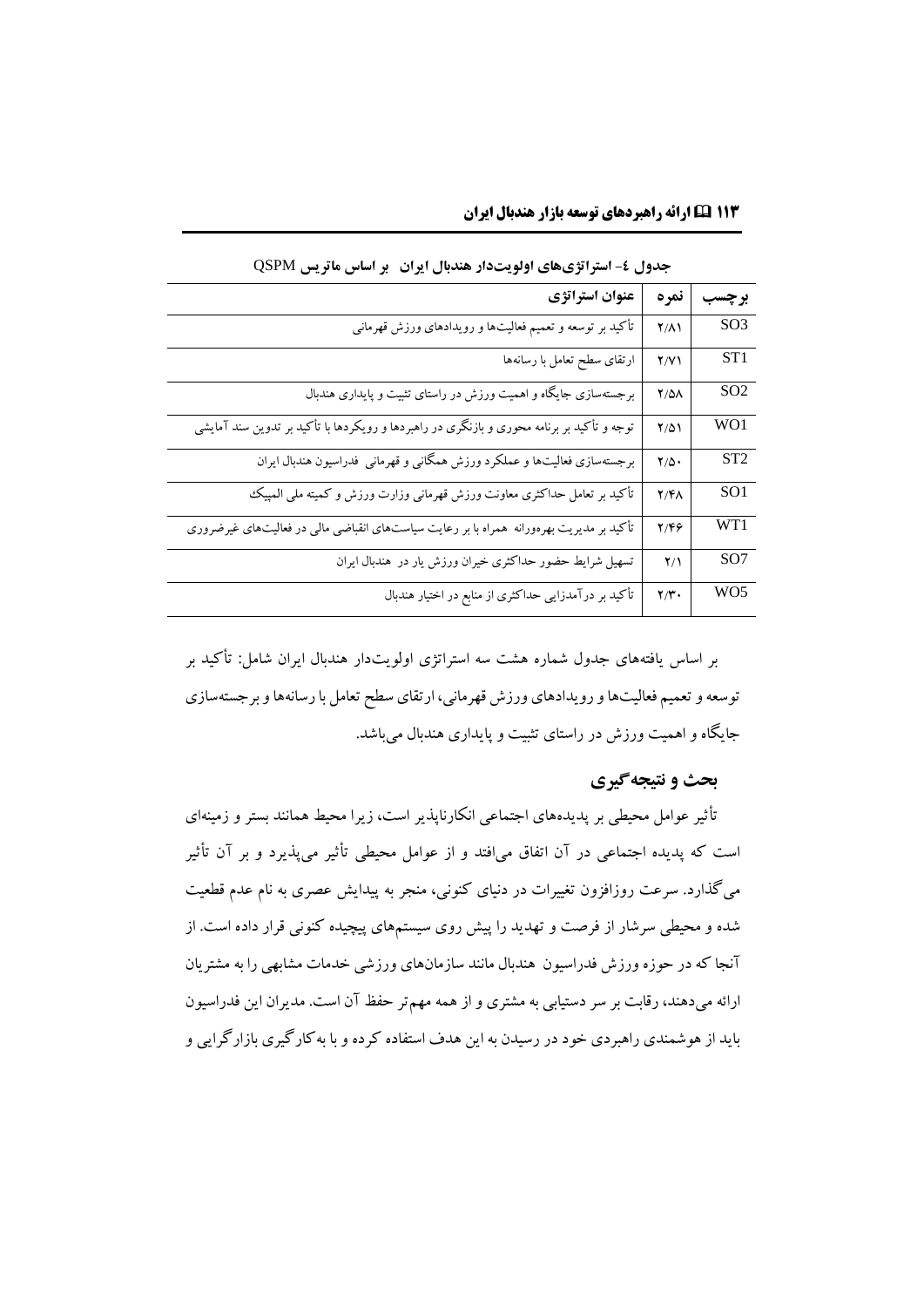| جدول ٤- استراتژیهای اولویتدار هندبال ایران۔بر اساس ماتریس QSPM                             |                   |                 |  |  |
|--------------------------------------------------------------------------------------------|-------------------|-----------------|--|--|
| عنوان استراتژي                                                                             | نمره              | برچسب           |  |  |
| تأكيد بر توسعه و تعميم فعاليتها و رويدادهاى ورزش قهرمانى                                   | $Y/\Lambda$       | SO <sub>3</sub> |  |  |
| ارتقاى سطح تعامل با رسانهها                                                                | Y/Y               | ST1             |  |  |
| برجستهسازی جایگاه و اهمیت ورزش در راستای تثبیت و پایداری هندبال                            | $Y/\Delta\Lambda$ | SO <sub>2</sub> |  |  |
| توجه و تأکید بر برنامه محوری و بازنگری در راهبردها و رویکردها با تأکید بر تدوین سند آمایشی | $Y/\Delta$        | WO1             |  |  |
| برجستهسازی فعالیتها و عملکرد ورزش همگانی و قهرمانی  فدراسیون هندبال ایران                  | $Y/\Delta$        | ST <sub>2</sub> |  |  |
| تأكيد بر تعامل حداكثرى معاونت ورزش قهرماني وزارت ورزش و كميته ملى المبيك                   | <b>Y/FA</b>       | SO <sub>1</sub> |  |  |
| تأکید بر مدیریت بهرهورانه همراه با بر رعایت سیاستهای انقباضی مالی در فعالیتهای غیرضروری    | ۲/۴۶              | WT1             |  |  |
| تسهیل شرایط حضور حداکثری خیران ورزش یار در هندبال ایران                                    | $Y/\lambda$       | SO <sub>7</sub> |  |  |
| تأکید بر درآمدزایی حداکثری از منابع در اختیار هندبال                                       | $Y/Y$ .           | WO <sub>5</sub> |  |  |

**۱۱3 ارائه راهبردهاي توسعه بازار هندبال ایران**

بر اساس یافتههاي جدول شماره هشت سه استراتژي اولویتدار هندبال ایران شامل: تأکید بر توسعه و تعمیم فعالیتهاو رویدادهاي ورزش قهرمانی، ارتقاي سطح تعامل با رسانههاو برجستهسازي جایگاه و اهمیت ورزش در راستاي تثبیت و پایداري هندبال میباشد.

## **بحث و نتیجهگیری**

تأثیر عوامل محیطی بر پدیدههاي اجتماعی انکارناپذیر است، زیرا محیط همانند بستر و زمینهاي است که پدیده اجتماعی در آن اتفاق میافتد و از عوامل محیطی تأثیر میپذیرد و بر آن تأثیر میگذارد. سرعت روزافزون تغییرات در دنیاي کنونی، منجر به پیدایش عصري به نام عدم قطعیت شده و محیطی سرشار از فرصت و تهدید را پیش روي سیستمهاي پیچیده کنونی قرار داده است. از آنجا که در حوزه ورزش فدراسیون هندبال مانند سازمانهاي ورزشی خدمات مشابهی را به مشتریان ارائه میدهند، رقابت بر سر دستیابی به مشتري و از همه مهمتر حفظ آن است. مدیران این فدراسیون باید از هوشمندي راهبردي خود در رسیدن به این هدف استفاده کرده و با بهکارگیري بازارگرایی و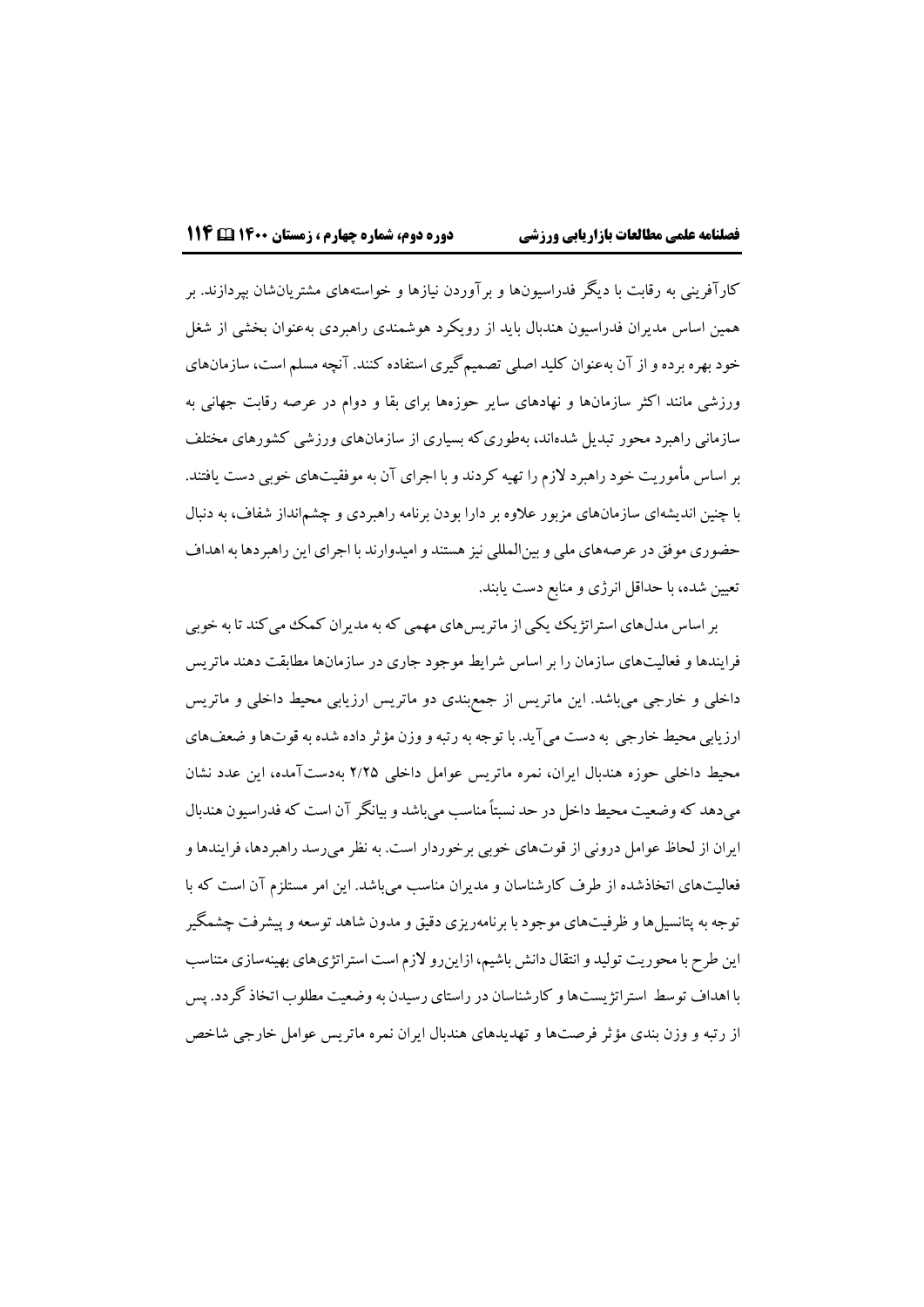کارآفرینی به رقابت با دیگر فدراسیونها و برآوردن نیازها و خواستههاي مشتریانشان بپردازند. بر همین اساس مدیران فدراسیون هندبال باید از رویکرد هوشمندي راهبردي بهعنوان بخشی از شغل خود بهره برده و از آن بهعنوان کلید اصلی تصمیمگیري استفاده کنند. آنچه مسلم است، سازمانهاي ورزشی مانند اکثر سازمانها و نهادهاي سایر حوزهها براي بقا و دوام در عرصه رقابت جهانی به سازمانی راهبرد محور تبدیل شدهاند، بهطوريکه بسیاري از سازمانهاي ورزشی کشورهاي مختلف بر اساس مأموریت خود راهبرد الزم را تهیه کردند و با اجراي آن به موفقیتهاي خوبی دست یافتند. با چنین اندیشهاي سازمانهاي مزبور عالوه بر دارا بودن برنامه راهبردي و چشمانداز شفاف، به دنبال حضوري موفق در عرصههاي ملی و بینالمللی نیز هستند و امیدوارند با اجراي این راهبردها به اهداف تعیین شده، با حداقل انرژي و منابع دست یابند.

بر اساس مدلهاي استراتژیک یکی از ماتریسهايمهمی که به مدیران کمک میکند تا به خوبی فرایندها و فعالیتهاي سازمان را بر اساس شرایط موجود جاري در سازمانها مطابقت دهند ماتریس داخلی و خارجی میباشد. این ماتریس از جمعبندي دو ماتریس ارزیابی محیط داخلی و ماتریس ارزیابی محیط خارجی به دست میآید. با توجه به رتبه و وزن مؤثرداده شده به قوتهاو ضعفهاي محیط داخلی حوزه هندبال ایران، نمره ماتریس عوامل داخلی 2/2۵ بهدستآمده، این عدد نشان میدهد که وضعیت محیط داخل در حد نسبتاً مناسب میباشد و بیانگر آن است که فدراسیون هندبال ایران از لحاظ عوامل درونی از قوتهاي خوبی برخوردار است. به نظر میرسد راهبردها، فرایندهاو فعالیتهاي اتخاذشده از طرف کارشناسان و مدیران مناسب میباشد. این امر مستلزم آن است که با توجه به پتانسیلهاو ظرفیتهاي موجود با برنامهریزي دقیق و مدون شاهد توسعه و پیشرفت چشمگیر این طرح با محوریت تولید و انتقال دانش باشیم، ازاینرو الزم است استراتژيهاي بهینهسازي متناسب با اهداف توسط استراتژیستها و کارشناسان در راستاي رسیدن به وضعیت مطلوب اتخاذ گردد. پس از رتبه و وزن بندي مؤثر فرصتها و تهدیدهاي هندبال ایران نمره ماتریس عوامل خارجی شاخص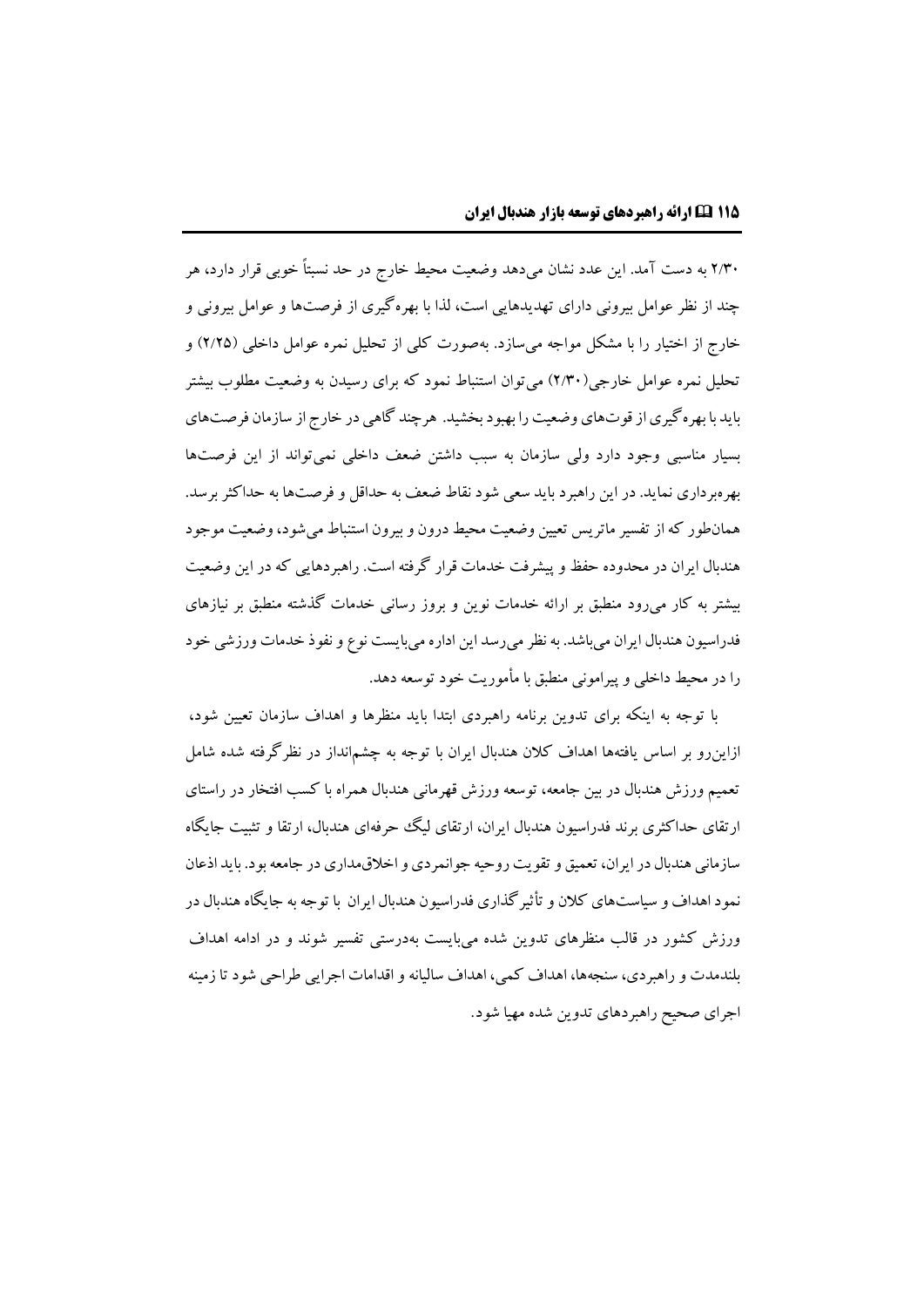2/30 به دست آمد. این عدد نشان میدهد وضعیت محیط خارج در حد نسبتاً خوبی قرار دارد، هر چند از نظر عوامل بیرونی داراي تهدیدهایی است، لذا با بهرهگیري از فرصتها و عوامل بیرونی و خارج از اختیار را با مشکل مواجه میسازد. بهصورت کلی از تحلیل نمره عوامل داخلی )2/2۵( و تحلیل نمره عوامل خارجی)2/30( میتوان استنباط نمود که براي رسیدن به وضعیت مطلوب بیشتر باید با بهرهگیرياز قوتهاي وضعیت را بهبود بخشید. هرچند گاهی در خارج از سازمان فرصتهاي بسیار مناسبی وجود دارد ولی سازمان به سبب داشتن ضعف داخلی نمیتواند از این فرصتها بهرهبرداري نماید. در این راهبرد باید سعی شود نقاط ضعف به حداقل و فرصتها به حداکثربرسد. همانطور که از تفسیر ماتریس تعیین وضعیت محیط درون و بیرون استنباط میشود، وضعیت موجود هندبال ایران در محدوده حفظ و پیشرفت خدمات قرار گرفته است. راهبردهایی که در این وضعیت بیشتر به کار میرود منطبق بر ارائه خدمات نوین و بروز رسانی خدمات گذشته منطبق بر نیازهاي فدراسیون هندبال ایران میباشد. به نظر میرسد این اداره میبایست نوع و نفوذ خدمات ورزشی خود را در محیط داخلی و پیرامونی منطبق با مأموریت خود توسعه دهد.

با توجه به اینکه براي تدوین برنامه راهبردي ابتدا باید منظرها و اهداف سازمان تعیین شود، ازاینرو بر اساس یافتهها اهداف کالن هندبال ایران با توجه به چشمانداز در نظرگرفته شده شامل تعمیم ورزش هندبال در بین جامعه، توسعه ورزش قهرمانی هندبال همراه با کسب افتخار در راستاي ارتقاي حداکثري برند فدراسیون هندبال ایران، ارتقاي لیگ حرفهاي هندبال، ارتقا و تثبیت جایگاه سازمانی هندبال در ایران، تعمیق و تقویت روحیه جوانمردي و اخالقمداري در جامعه بود. باید اذعان نموداهداف و سیاستهاي کالن و تأثیرگذاري فدراسیون هندبال ایران با توجه به جایگاه هندبال در ورزش کشور در قالب منظرهاي تدوین شده میبایست بهدرستی تفسیر شوند و در ادامه اهداف بلندمدت و راهبردي، سنجهها، اهداف کمی، اهداف سالیانه و اقدامات اجرایی طراحی شود تا زمینه اجراي صحیح راهبردهاي تدوین شده مهیا شود.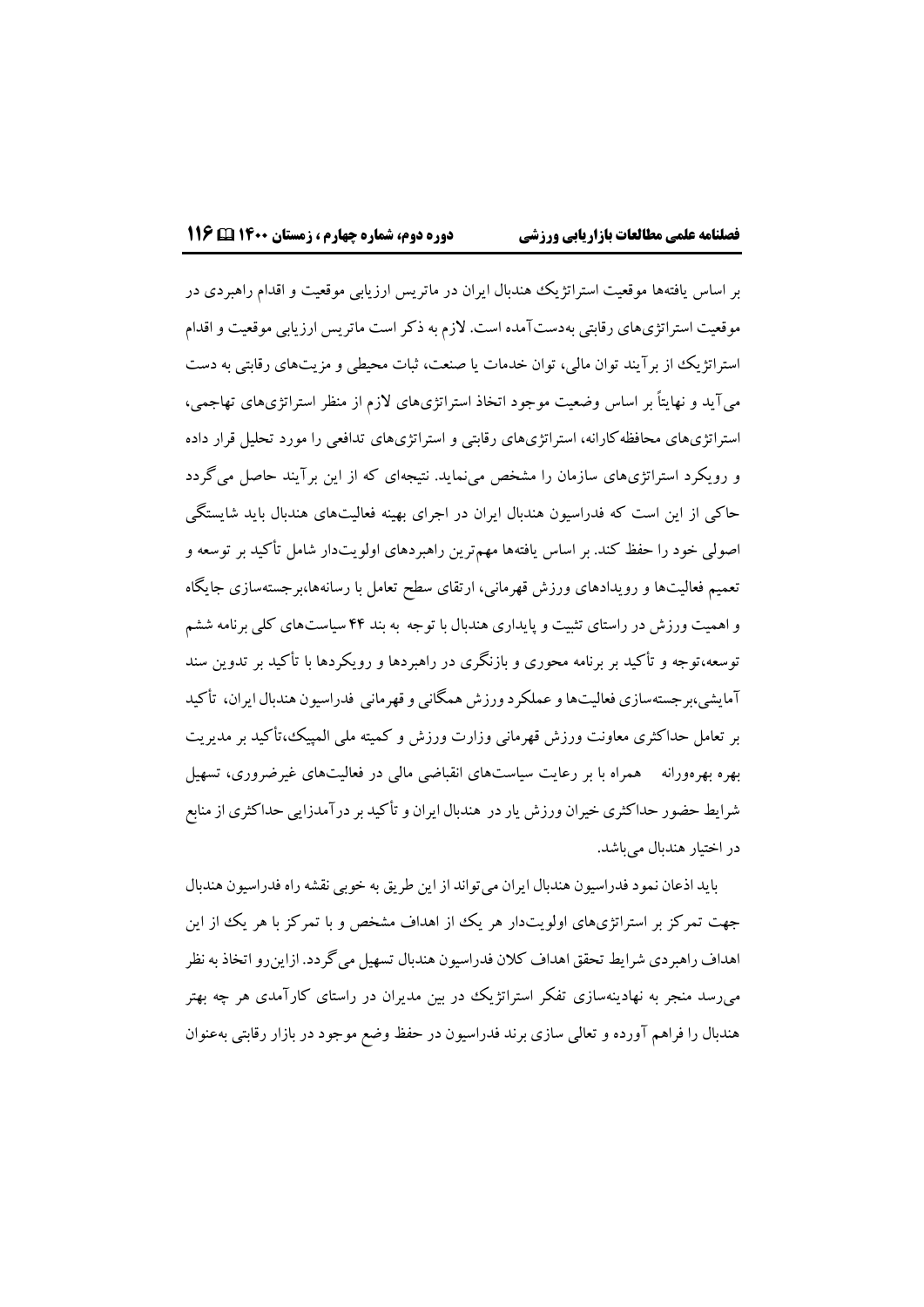بر اساس یافتهها موقعیت استراتژیک هندبال ایران در ماتریس ارزیابی موقعیت و اقدام راهبردي در موقعیت استراتژيهاي رقابتی بهدستآمده است. الزم به ذکر است ماتریس ارزیابی موقعیت و اقدام استراتژیک از برآیند توان مالی، توان خدمات یا صنعت، ثبات محیطی و مزیتهاي رقابتی به دست میآید و نهایتاً بر اساس وضعیت موجود اتخاذ استراتژيهاي الزم از منظر استراتژيهاي تهاجمی، استراتژيهاي محافظهکارانه، استراتژيهاي رقابتی و استراتژيهاي تدافعی را مورد تحلیل قرار داده و رویکرد استراتژيهاي سازمان را مشخص مینماید. نتیجهاي که از این برآیند حاصل میگردد حاکی از این است که فدراسیون هندبال ایران در اجراي بهینه فعالیتهاي هندبال باید شایستگی اصولی خود را حفظ کند. بر اساس یافتهها مهمترین راهبردهاي اولویتدار شامل تأکید بر توسعه و تعمیم فعالیتها و رویدادهاي ورزش قهرمانی، ارتقاي سطح تعامل با رسانهها،برجستهسازي جایگاه و اهمیت ورزش در راستاي تثبیت و پایداري هندبال با توجه به بند ۴۴ سیاستهاي کلی برنامه ششم توسعه،توجه و تأکید بر برنامه محوري و بازنگري در راهبردها و رویکردها با تأکید بر تدوین سند آمایشی،برجستهسازي فعالیتهاو عملکرد ورزش همگانی و قهرمانی فدراسیون هندبال ایران، تأکید بر تعامل حداکثري معاونت ورزش قهرمانی وزارت ورزش و کمیته ملی المپیک،تأکید بر مدیریت بهره بهرهورانه همراه با بر رعایت سیاستهاي انقباضی مالی در فعالیتهاي غیرضروري، تسهیل شرایط حضور حداکثري خیران ورزش یار در هندبال ایران و تأکید بر درآمدزایی حداکثري از منابع در اختیار هندبال می باشد.

باید اذعان نمود فدراسیون هندبال ایران می تواند از این طریق به خوبی نقشه راه فدراسیون هندبال جهت تمرکز بر استراتژيهاي اولویتدار هر یک از اهداف مشخص و با تمرکز با هر یک از این اهداف راهبردي شرایط تحقق اهداف کالن فدراسیون هندبال تسهیل میگردد. ازاینرواتخاذبه نظر میرسد منجر به نهادینهسازي تفکر استراتژیک در بین مدیران در راستاي کارآمدي هر چه بهتر هندبال را فراهم آورده و تعالی سازي برند فدراسیون در حفظ وضع موجود در بازار رقابتی بهعنوان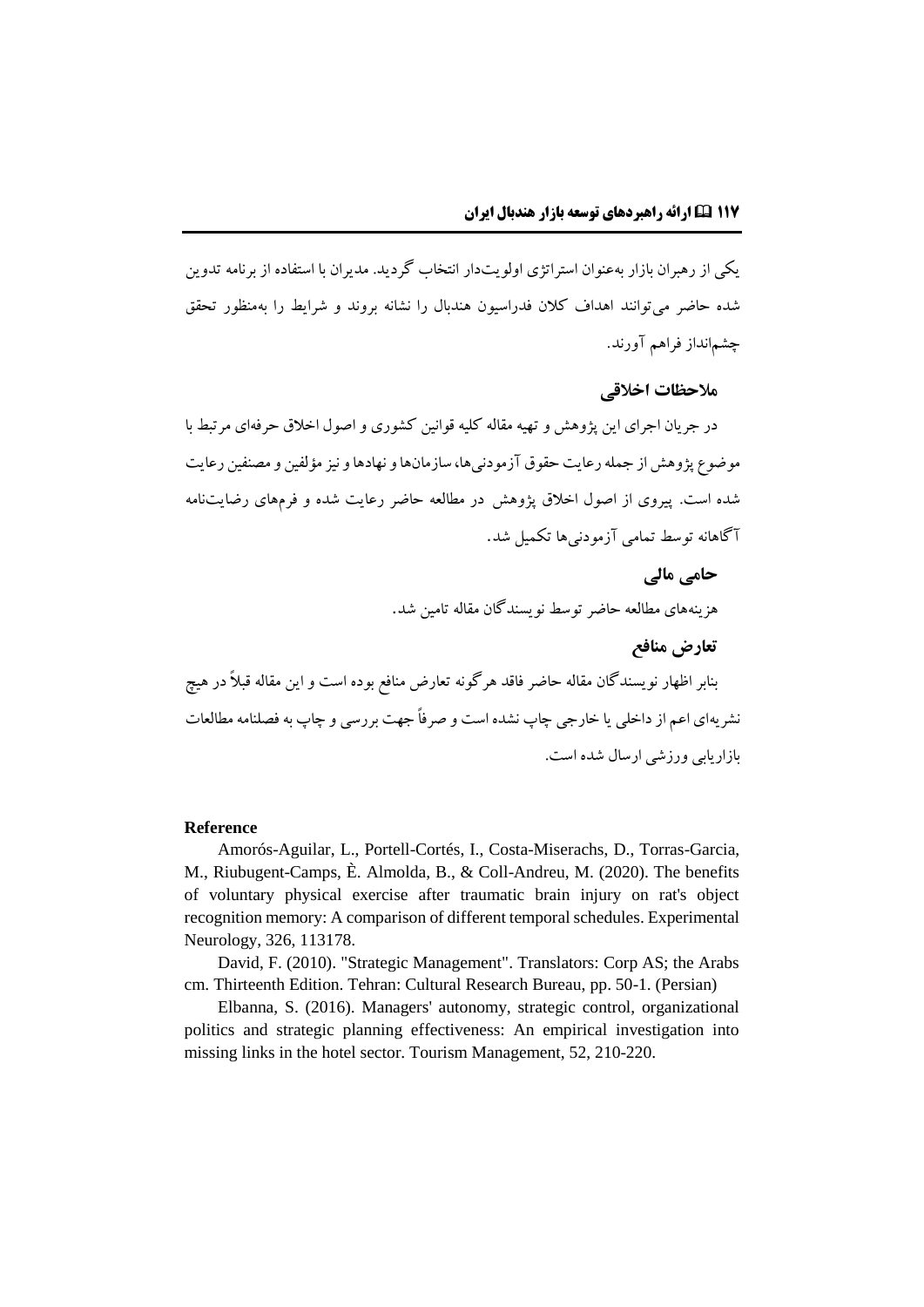یکی از رهبران بازار بهعنوان استراتژي اولویتدار انتخاب گردید. مدیران با استفاده از برنامه تدوین شده حاضر میتوانند اهداف کالن فدراسیون هندبال را نشانه بروند و شرایط را بهمنظور تحقق چشمانداز فراهم آورند.

## **مالحظات اخالقی**

در جریان اجراي این پژوهش و تهیه مقاله کلیه قوانین کشوري و اصول اخالق حرفهاي مرتبط با موضوع پژوهش از جمله رعایت حقوق آزمودنیها، سازمانها و نهادها و نیز مؤلفین و مصنفین رعایت شده است. پیروي از اصول اخالق پژوهش در مطالعه حاضر رعایت شده و فرمهاي رضایتنامه آگاهانه توسط تمامی آزمودنیها تکمیل شد.

> **حامی مالی** هزینههاي مطالعه حاضر توسط نویسندگان مقاله تامین شد.

> > **تعارض منافع**

بنابر اظهار نویسندگان مقاله حاضر فاقد هرگونه تعارض منافع بوده است و این مقاله قبالً در هیچ نشریهاي اعم از داخلی یا خارجی چاپ نشده است و صرفاً جهت بررسی و چاپ به فصلنامه مطالعات بازاریابی ورزشی ارسال شده است.

#### **Reference**

Amorós-Aguilar, L., Portell-Cortés, I., Costa-Miserachs, D., Torras-Garcia, M., Riubugent-Camps, È. Almolda, B., & Coll-Andreu, M. (2020). The benefits of voluntary physical exercise after traumatic brain injury on rat's object recognition memory: A comparison of different temporal schedules. Experimental Neurology, 326, 113178.

David, F. (2010). "Strategic Management". Translators: Corp AS; the Arabs cm. Thirteenth Edition. Tehran: Cultural Research Bureau, pp. 50-1. (Persian)

Elbanna, S. (2016). Managers' autonomy, strategic control, organizational politics and strategic planning effectiveness: An empirical investigation into missing links in the hotel sector. Tourism Management, 52, 210-220.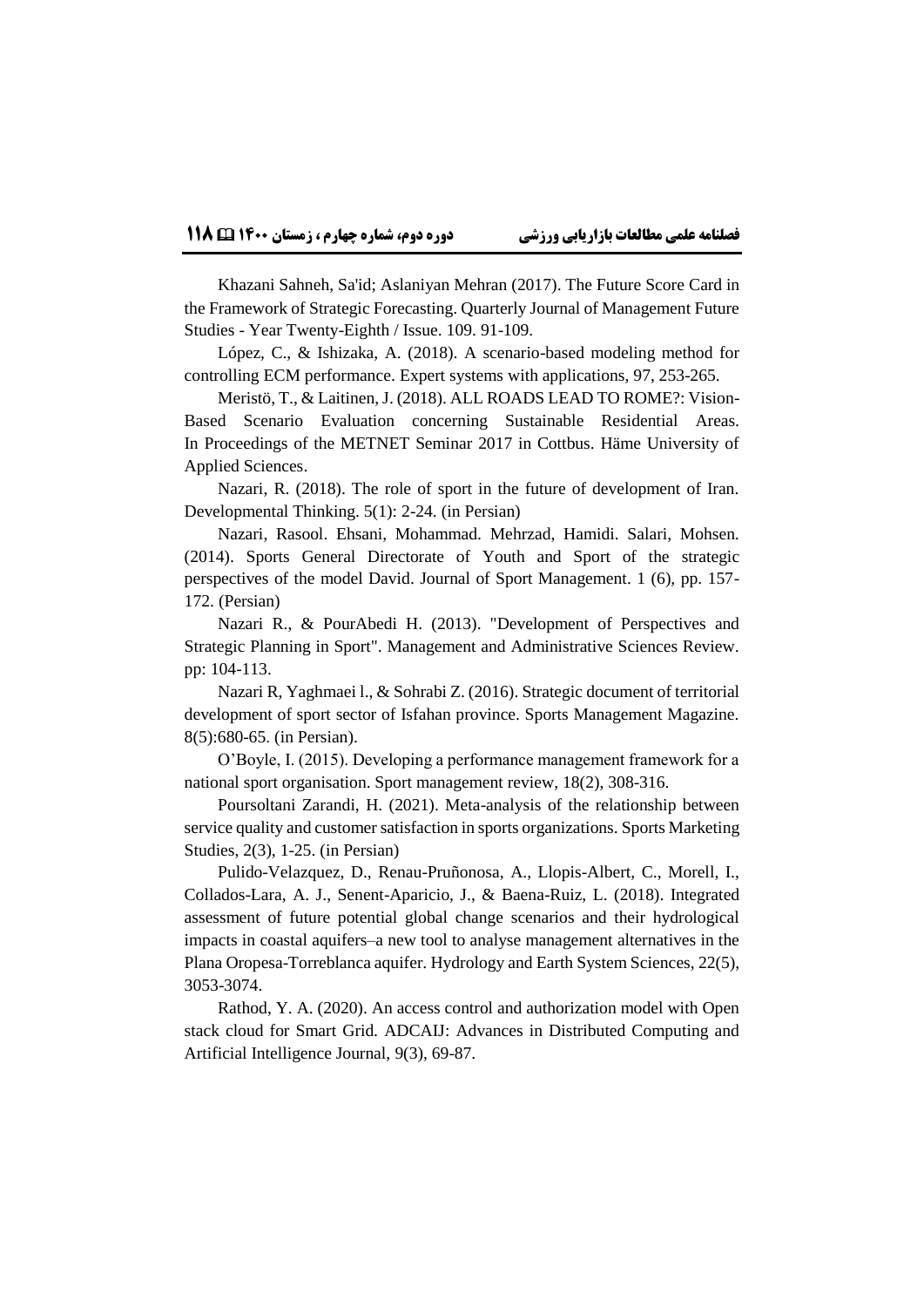Khazani Sahneh, Sa'id; Aslaniyan Mehran (2017). The Future Score Card in the Framework of Strategic Forecasting. Quarterly Journal of Management Future Studies - Year Twenty-Eighth / Issue. 109. 91-109.

López, C., & Ishizaka, A. (2018). A scenario-based modeling method for controlling ECM performance. Expert systems with applications, 97, 253-265.

Meristö, T., & Laitinen, J. (2018). ALL ROADS LEAD TO ROME?: Vision-Based Scenario Evaluation concerning Sustainable Residential Areas. In Proceedings of the METNET Seminar 2017 in Cottbus. Häme University of Applied Sciences.

Nazari, R. (2018). The role of sport in the future of development of Iran. Developmental Thinking. 5(1): 2-24. (in Persian)

Nazari, Rasool. Ehsani, Mohammad. Mehrzad, Hamidi. Salari, Mohsen. (2014). Sports General Directorate of Youth and Sport of the strategic perspectives of the model David. Journal of Sport Management. 1 (6), pp. 157- 172. (Persian)

Nazari R., & PourAbedi H. (2013). "Development of Perspectives and Strategic Planning in Sport". Management and Administrative Sciences Review. pp: 104-113.

Nazari R, Yaghmaei l., & Sohrabi Z. (2016). Strategic document of territorial development of sport sector of Isfahan province. Sports Management Magazine. 8(5):680-65. (in Persian).

O'Boyle, I. (2015). Developing a performance management framework for a national sport organisation. Sport management review, 18(2), 308-316.

Poursoltani Zarandi, H. (2021). Meta-analysis of the relationship between service quality and customer satisfaction in sports organizations. Sports Marketing Studies, 2(3), 1-25. (in Persian)

Pulido-Velazquez, D., Renau-Pruñonosa, A., Llopis-Albert, C., Morell, I., Collados-Lara, A. J., Senent-Aparicio, J., & Baena-Ruiz, L. (2018). Integrated assessment of future potential global change scenarios and their hydrological impacts in coastal aquifers–a new tool to analyse management alternatives in the Plana Oropesa-Torreblanca aquifer. Hydrology and Earth System Sciences, 22(5), 3053-3074.

Rathod, Y. A. (2020). An access control and authorization model with Open stack cloud for Smart Grid. ADCAIJ: Advances in Distributed Computing and Artificial Intelligence Journal, 9(3), 69-87.